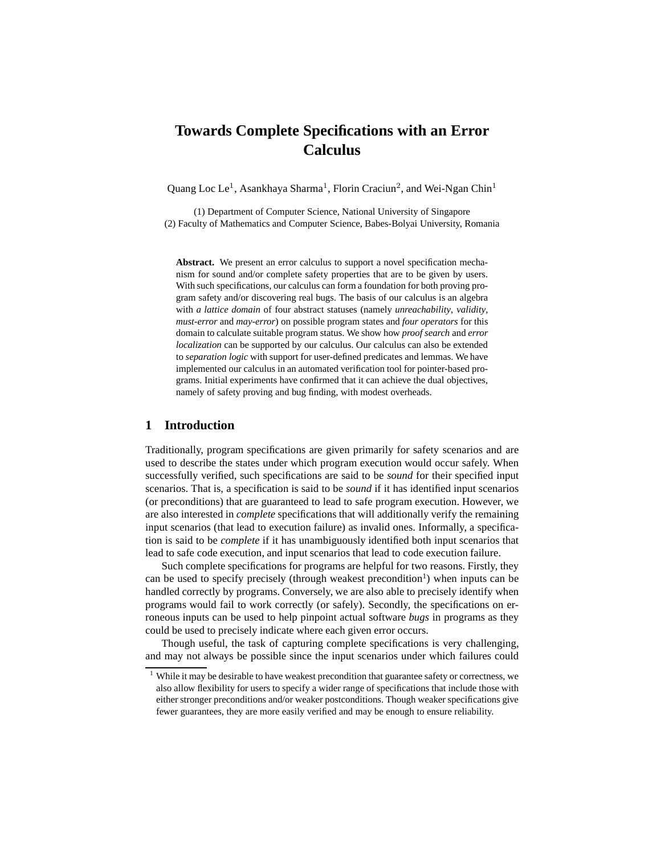# **Towards Complete Specifications with an Error Calculus**

Quang Loc Le<sup>1</sup>, Asankhaya Sharma<sup>1</sup>, Florin Craciun<sup>2</sup>, and Wei-Ngan Chin<sup>1</sup>

(1) Department of Computer Science, National University of Singapore (2) Faculty of Mathematics and Computer Science, Babes-Bolyai University, Romania

**Abstract.** We present an error calculus to support a novel specification mechanism for sound and/or complete safety properties that are to be given by users. With such specifications, our calculus can form a foundation for both proving program safety and/or discovering real bugs. The basis of our calculus is an algebra with *a lattice domain* of four abstract statuses (namely *unreachability*, *validity*, *must-error* and *may-error*) on possible program states and *four operators* for this domain to calculate suitable program status. We show how *proof search* and *error localization* can be supported by our calculus. Our calculus can also be extended to *separation logic* with support for user-defined predicates and lemmas. We have implemented our calculus in an automated verification tool for pointer-based programs. Initial experiments have confirmed that it can achieve the dual objectives, namely of safety proving and bug finding, with modest overheads.

# **1 Introduction**

Traditionally, program specifications are given primarily for safety scenarios and are used to describe the states under which program execution would occur safely. When successfully verified, such specifications are said to be *sound* for their specified input scenarios. That is, a specification is said to be *sound* if it has identified input scenarios (or preconditions) that are guaranteed to lead to safe program execution. However, we are also interested in *complete* specifications that will additionally verify the remaining input scenarios (that lead to execution failure) as invalid ones. Informally, a specification is said to be *complete* if it has unambiguously identified both input scenarios that lead to safe code execution, and input scenarios that lead to code execution failure.

Such complete specifications for programs are helpful for two reasons. Firstly, they can be used to specify precisely (through weakest precondition<sup>1</sup>) when inputs can be handled correctly by programs. Conversely, we are also able to precisely identify when programs would fail to work correctly (or safely). Secondly, the specifications on erroneous inputs can be used to help pinpoint actual software *bugs* in programs as they could be used to precisely indicate where each given error occurs.

Though useful, the task of capturing complete specifications is very challenging, and may not always be possible since the input scenarios under which failures could

<sup>&</sup>lt;sup>1</sup> While it may be desirable to have weakest precondition that guarantee safety or correctness, we also allow flexibility for users to specify a wider range of specifications that include those with either stronger preconditions and/or weaker postconditions. Though weaker specifications give fewer guarantees, they are more easily verified and may be enough to ensure reliability.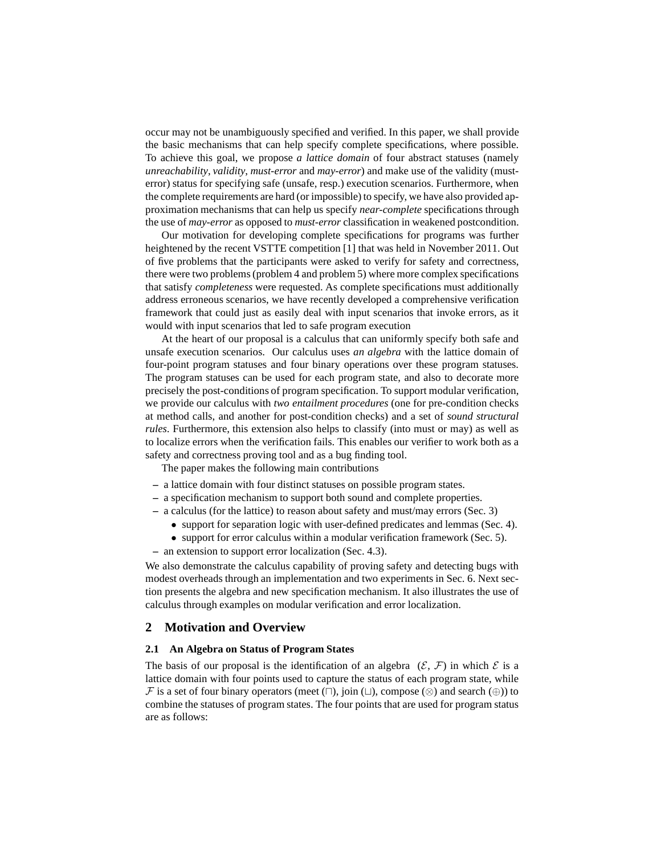occur may not be unambiguously specified and verified. In this paper, we shall provide the basic mechanisms that can help specify complete specifications, where possible. To achieve this goal, we propose *a lattice domain* of four abstract statuses (namely *unreachability*, *validity*, *must-error* and *may-error*) and make use of the validity (musterror) status for specifying safe (unsafe, resp.) execution scenarios. Furthermore, when the complete requirements are hard (or impossible) to specify, we have also provided approximation mechanisms that can help us specify *near-complete* specifications through the use of *may-error* as opposed to *must-error* classification in weakened postcondition.

Our motivation for developing complete specifications for programs was further heightened by the recent VSTTE competition [1] that was held in November 2011. Out of five problems that the participants were asked to verify for safety and correctness, there were two problems (problem 4 and problem 5) where more complex specifications that satisfy *completeness* were requested. As complete specifications must additionally address erroneous scenarios, we have recently developed a comprehensive verification framework that could just as easily deal with input scenarios that invoke errors, as it would with input scenarios that led to safe program execution

At the heart of our proposal is a calculus that can uniformly specify both safe and unsafe execution scenarios. Our calculus uses *an algebra* with the lattice domain of four-point program statuses and four binary operations over these program statuses. The program statuses can be used for each program state, and also to decorate more precisely the post-conditions of program specification. To support modular verification, we provide our calculus with *two entailment procedures* (one for pre-condition checks at method calls, and another for post-condition checks) and a set of *sound structural rules*. Furthermore, this extension also helps to classify (into must or may) as well as to localize errors when the verification fails. This enables our verifier to work both as a safety and correctness proving tool and as a bug finding tool.

The paper makes the following main contributions

- **–** a lattice domain with four distinct statuses on possible program states.
- **–** a specification mechanism to support both sound and complete properties.
- **–** a calculus (for the lattice) to reason about safety and must/may errors (Sec. 3)
	- support for separation logic with user-defined predicates and lemmas (Sec. 4).
	- support for error calculus within a modular verification framework (Sec. 5).

**–** an extension to support error localization (Sec. 4.3).

We also demonstrate the calculus capability of proving safety and detecting bugs with modest overheads through an implementation and two experiments in Sec. 6. Next section presents the algebra and new specification mechanism. It also illustrates the use of calculus through examples on modular verification and error localization.

# **2 Motivation and Overview**

#### **2.1 An Algebra on Status of Program States**

The basis of our proposal is the identification of an algebra  $(\mathcal{E}, \mathcal{F})$  in which  $\mathcal E$  is a lattice domain with four points used to capture the status of each program state, while F is a set of four binary operators (meet  $(\Box)$ , join  $(\bot)$ , compose  $(\otimes)$  and search  $(\oplus)$ ) to combine the statuses of program states. The four points that are used for program status are as follows: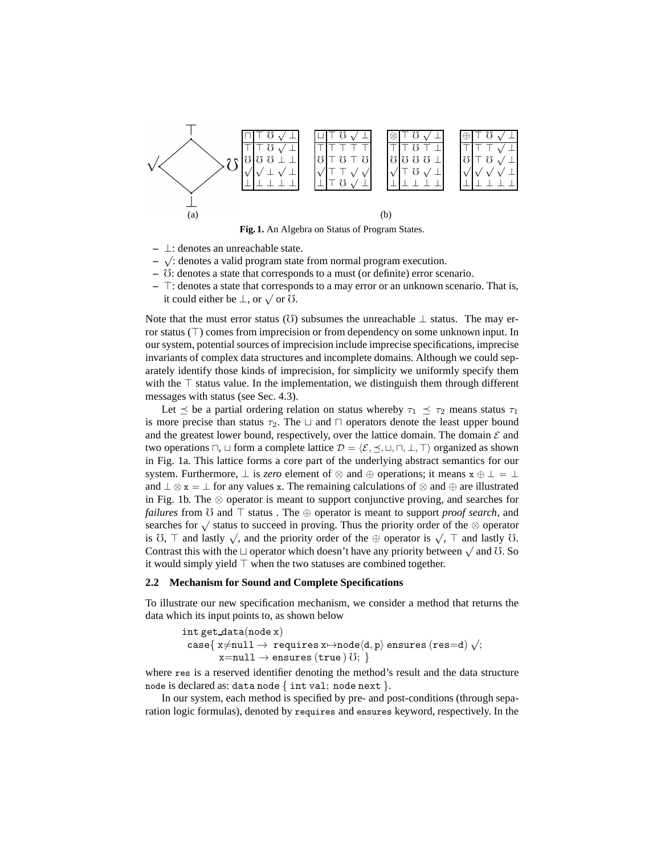

**Fig. 1.** An Algebra on Status of Program States.

- **–** ⊥: denotes an unreachable state.
- **–** √ : denotes a valid program state from normal program execution.
- **–** ℧: denotes a state that corresponds to a must (or definite) error scenario.
- **–** ⊤: denotes a state that corresponds to a may error or an unknown scenario. That is, it could either be  $\perp$ , or  $\sqrt{\text{or }\theta}$ .

Note that the must error status ( $U$ ) subsumes the unreachable  $\perp$  status. The may error status (⊤) comes from imprecision or from dependency on some unknown input. In our system, potential sources of imprecision include imprecise specifications, imprecise invariants of complex data structures and incomplete domains. Although we could separately identify those kinds of imprecision, for simplicity we uniformly specify them with the ⊤ status value. In the implementation, we distinguish them through different messages with status (see Sec. 4.3).

Let  $\leq$  be a partial ordering relation on status whereby  $\tau_1 \leq \tau_2$  means status  $\tau_1$ is more precise than status  $\tau_2$ . The  $\Box$  and  $\Box$  operators denote the least upper bound and the greatest lower bound, respectively, over the lattice domain. The domain  $\mathcal E$  and two operations  $\sqcap$ ,  $\sqcup$  form a complete lattice  $\mathcal{D} = \langle \mathcal{E}, \preceq, \sqcup, \sqcap, \bot, \top \rangle$  organized as shown in Fig. 1a. This lattice forms a core part of the underlying abstract semantics for our system. Furthermore,  $\perp$  is *zero* element of  $\otimes$  and  $\oplus$  operations; it means  $x \oplus \perp = \perp$ and  $\perp \otimes x = \perp$  for any values x. The remaining calculations of  $\otimes$  and  $\oplus$  are illustrated in Fig. 1b. The ⊗ operator is meant to support conjunctive proving, and searches for *failures* from ℧ and <sup>⊤</sup> status . The <sup>⊕</sup> operator is meant to support *proof search*, and searches for  $\sqrt$  status to succeed in proving. Thus the priority order of the ⊗ operator is U, ⊤ and lastly  $\sqrt{ }$ , and the priority order of the ⊕ operator is  $\sqrt{ }$ , ⊤ and lastly U. Contrast this with the  $\Box$  operator which doesn't have any priority between  $\sqrt{}$  and U. So it would simply yield ⊤ when the two statuses are combined together.

#### **2.2 Mechanism for Sound and Complete Specifications**

To illustrate our new specification mechanism, we consider a method that returns the data which its input points to, as shown below

$$
\begin{array}{l} \mathtt{int}\ \mathtt{get.data}(\mathtt{node}\ \mathtt{x})\\ \mathtt{case} \{\ \mathtt{x} {\neq } \mathtt{null} \rightarrow \ \mathtt{requires}\ \mathtt{x} {\mapsto } \mathtt{node} \langle \mathtt{d}, \mathtt{p} \rangle\ \mathtt{ensures}\ (\mathtt{res}\!=\!\mathtt{d})\ \mathtt{\sqrt};\\ \mathtt{x} {=} \mathtt{null} \rightarrow \mathtt{ensures}\ (\mathtt{true})\ \mathtt{U};\ \mathtt{\}} \end{array}
$$

where res is a reserved identifier denoting the method's result and the data structure node is declared as: data node  $\{$  int val; node next  $\}$ .

In our system, each method is specified by pre- and post-conditions (through separation logic formulas), denoted by requires and ensures keyword, respectively. In the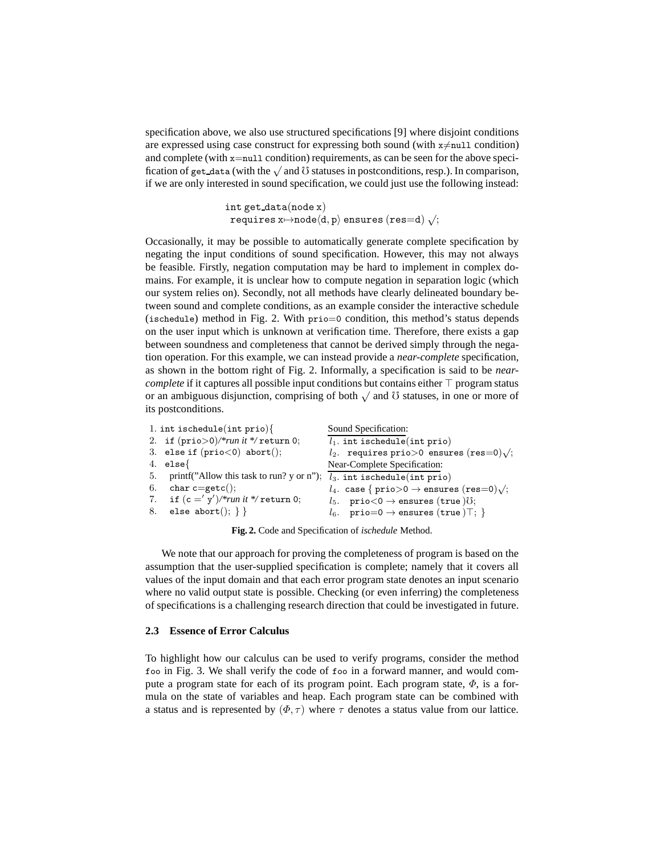specification above, we also use structured specifications [9] where disjoint conditions are expressed using case construct for expressing both sound (with  $x \neq null$  condition) and complete (with x=null condition) requirements, as can be seen for the above specification of get data (with the  $\sqrt{}$  and U statuses in postconditions, resp.). In comparison, if we are only interested in sound specification, we could just use the following instead:

```
int get data(node x)
  \texttt{requires x} \mapsto \texttt{node} \langle d, p \rangle \texttt{ensures (res=d) } \sqrt{p}
```
Occasionally, it may be possible to automatically generate complete specification by negating the input conditions of sound specification. However, this may not always be feasible. Firstly, negation computation may be hard to implement in complex domains. For example, it is unclear how to compute negation in separation logic (which our system relies on). Secondly, not all methods have clearly delineated boundary between sound and complete conditions, as an example consider the interactive schedule (ischedule) method in Fig. 2. With prio=0 condition, this method's status depends on the user input which is unknown at verification time. Therefore, there exists a gap between soundness and completeness that cannot be derived simply through the negation operation. For this example, we can instead provide a *near-complete* specification, as shown in the bottom right of Fig. 2. Informally, a specification is said to be *nearcomplete* if it captures all possible input conditions but contains either ⊤ program status or an ambiguous disjunction, comprising of both  $\sqrt{ }$  and  $\sigma$  statuses, in one or more of its postconditions.

1. int ischedule(int prio){ 2. if (prio>0)*/\*run it \*/* return 0; 3. else if  $(prio<0)$  abort $()$ ; 4. else{ 5. printf("Allow this task to run? y or n");  $\overline{l_3}$ . int ischedule(int prio) 6. char  $c = getc()$ ; 7. if  $(c = 'y')$ /\**run it* \*/**return** 0; 8. else abort $()$ ;  $\}$ } Sound Specification:  $l_1$ . int ischedule(int prio)  $\stackrel{\text{\rm .}}{l}_2$ . requires prio>0 ensures (res=0) $\sqrt{ }$ ; Near-Complete Specification:  $l_4$ . case {  $\text{prio} > 0 \rightarrow \text{ensures (res=0)} \sqrt{ }$ ; l<sub>5</sub>. prio $<$ 0  $\rightarrow$  ensures (true )U;  $l_6$ . prio=0 → ensures (true ) $\top$ ; }

**Fig. 2.** Code and Specification of *ischedule* Method.

We note that our approach for proving the completeness of program is based on the assumption that the user-supplied specification is complete; namely that it covers all values of the input domain and that each error program state denotes an input scenario where no valid output state is possible. Checking (or even inferring) the completeness of specifications is a challenging research direction that could be investigated in future.

#### **2.3 Essence of Error Calculus**

To highlight how our calculus can be used to verify programs, consider the method foo in Fig. 3. We shall verify the code of foo in a forward manner, and would compute a program state for each of its program point. Each program state,  $\Phi$ , is a formula on the state of variables and heap. Each program state can be combined with a status and is represented by  $(\Phi, \tau)$  where  $\tau$  denotes a status value from our lattice.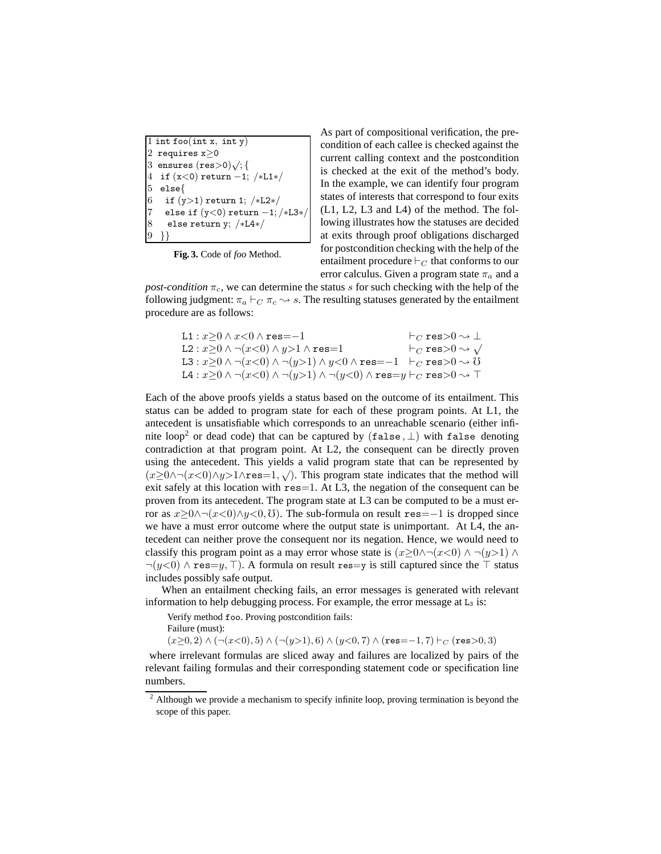```
1 int foo(int x, int y)
2 requires x≥0
3 ensures (\text{res}>0)\sqrt{ }; {
4 if (x<0) return -1; /*L1*/<br>5 else{
5 else\{<br>6 if (y)if (y>1) return 1; /*L2*/7 else if (y<0) return -1; /*L3*/<br>8 else return y; /*L4*/else return y; /*L4*/
\overline{9}
```
**Fig. 3.** Code of *foo* Method.

As part of compositional verification, the precondition of each callee is checked against the current calling context and the postcondition is checked at the exit of the method's body. In the example, we can identify four program states of interests that correspond to four exits (L1, L2, L3 and L4) of the method. The following illustrates how the statuses are decided at exits through proof obligations discharged for postcondition checking with the help of the entailment procedure  $\vdash_C$  that conforms to our error calculus. Given a program state  $\pi_a$  and a

*post-condition*  $\pi_c$ , we can determine the status s for such checking with the help of the following judgment:  $\pi_a \vdash_C \pi_c \leadsto s$ . The resulting statuses generated by the entailment procedure are as follows:

$$
\begin{array}{ll} \texttt{L1}: x{\geq} 0 \land x{<} 0 \land \texttt{res}{=}{-}1 & \vdash_C \texttt{res}{>} 0 \leadsto \bot \\ \texttt{L2}: x{\geq} 0 \land \neg(x{<}0) \land y{>}1 \land \texttt{res}{=}1 & \vdash_C \texttt{res}{>}0 \leadsto \sqrt{} \\ \texttt{L3}: x{\geq} 0 \land \neg(x{<}0) \land \neg(y{>}1) \land y{<}0 \land \texttt{res}{=}{-}1 & \vdash_C \texttt{res}{>}0 \leadsto \mho \\ \texttt{L4}: x{\geq} 0 \land \neg(x{<}0) \land \neg(y{>}1) \land \neg(y{<}0) \land \texttt{res}{=}y \vdash_C \texttt{res}{>}0 \leadsto \top \end{array}
$$

Each of the above proofs yields a status based on the outcome of its entailment. This status can be added to program state for each of these program points. At L1, the antecedent is unsatisfiable which corresponds to an unreachable scenario (either infinite loop<sup>2</sup> or dead code) that can be captured by (false,  $\perp$ ) with false denoting contradiction at that program point. At L2, the consequent can be directly proven using the antecedent. This yields a valid program state that can be represented by  $(x \ge 0 \land \neg(x < 0) \land y > 1 \land \text{res} = 1, \sqrt{)}$ . This program state indicates that the method will exit safely at this location with res=1. At L3, the negation of the consequent can be proven from its antecedent. The program state at L3 can be computed to be a must error as  $x\geq 0 \land \neg(x<0) \land y<0, \emptyset)$ . The sub-formula on result res=-1 is dropped since we have a must error outcome where the output state is unimportant. At L4, the antecedent can neither prove the consequent nor its negation. Hence, we would need to classify this program point as a may error whose state is  $(x\geq 0 \land \neg(x<0) \land \neg(y>1) \land \neg(y\geq 1)$  $\neg(y<0) \land \text{res}=y, \top$ ). A formula on result res=y is still captured since the ⊤ status includes possibly safe output.

When an entailment checking fails, an error messages is generated with relevant information to help debugging process. For example, the error message at  $L_3$  is:

Verify method foo. Proving postcondition fails: Failure (must):

 $(x≥0, 2) \land (\neg(x<0), 5) \land (\neg(y>1), 6) \land (y<0, 7) \land (res=-1, 7) \vdash_C (res >0, 3)$ 

where irrelevant formulas are sliced away and failures are localized by pairs of the relevant failing formulas and their corresponding statement code or specification line numbers.

<sup>&</sup>lt;sup>2</sup> Although we provide a mechanism to specify infinite loop, proving termination is beyond the scope of this paper.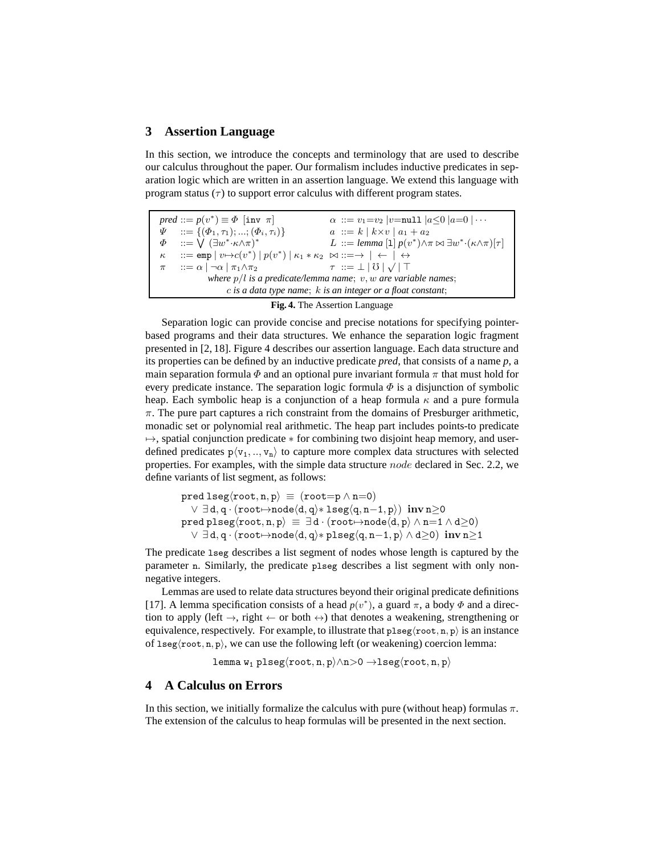# **3 Assertion Language**

In this section, we introduce the concepts and terminology that are used to describe our calculus throughout the paper. Our formalism includes inductive predicates in separation logic which are written in an assertion language. We extend this language with program status  $(\tau)$  to support error calculus with different program states.

 $pred ::= p(v^*) \equiv \Phi$  [inv  $\pi$ ]  $\Psi$  ::= { $(\Phi_1, \tau_1)$ ; ...;  $(\Phi_i, \tau_i)$ }<br>  $\Phi$  ::=  $\bigvee$   $(\exists w^* \kappa \wedge \pi)^*$  $\Phi$  ::=  $\bigvee$   $(\exists w^* \kappa \wedge \pi)^*$  $\kappa$  ::= emp |  $v \mapsto c(v^*) | p(v^*) | \kappa_1 * \kappa_2 \bowtie ::= \rightarrow | \leftarrow | \leftrightarrow$  $\pi$  ::=  $\alpha$  |  $\neg \alpha$  |  $\pi_1 \wedge \pi_2$  $\alpha$  ::=  $v_1 = v_2 | v = \text{null} | a \leq 0 | a = 0 | \cdots$  $a := k | k \times v | a_1 + a_2$ L ::=  $lemma [1] p(v^*) \wedge \pi \bowtie \exists w^* \cdot (\kappa \wedge \pi)[\tau]$  $\tau$  ::=  $\perp |\U0| \sqrt{|\top}$ *where* p/l *is a predicate/lemma name*; v, w *are variable names*; c *is a data type name*; k *is an integer or a float constant*;

#### **Fig. 4.** The Assertion Language

Separation logic can provide concise and precise notations for specifying pointerbased programs and their data structures. We enhance the separation logic fragment presented in [2, 18]. Figure 4 describes our assertion language. Each data structure and its properties can be defined by an inductive predicate *pred*, that consists of a name *p*, a main separation formula  $\Phi$  and an optional pure invariant formula  $\pi$  that must hold for every predicate instance. The separation logic formula  $\Phi$  is a disjunction of symbolic heap. Each symbolic heap is a conjunction of a heap formula  $\kappa$  and a pure formula  $\pi$ . The pure part captures a rich constraint from the domains of Presburger arithmetic, monadic set or polynomial real arithmetic. The heap part includes points-to predicate  $\rightarrow$ , spatial conjunction predicate  $*$  for combining two disjoint heap memory, and userdefined predicates  $p\langle v_1, \ldots, v_n \rangle$  to capture more complex data structures with selected properties. For examples, with the simple data structure node declared in Sec. 2.2, we define variants of list segment, as follows:

pred lseg $\langle \text{root}, n, p \rangle \equiv (\text{root}=p \land n=0)$  $\lor$   $\exists$  d, q · (root $\mapsto$ node $\langle d, q \rangle * 1$ seg $\langle q, n-1, p \rangle$ ) inv n≥0 pred plseg $\langle root, n, p \rangle \equiv \exists d \cdot (root \rightarrow node \langle d, p \rangle \land n=1 \land d \geq 0)$  $\vee \exists d, q \cdot (root \rightarrow node\langle d, q \rangle * p \leq g\langle q, n-1, p \rangle \wedge d \geq 0)$  inv n $\geq 1$ 

The predicate lseg describes a list segment of nodes whose length is captured by the parameter n. Similarly, the predicate plseg describes a list segment with only nonnegative integers.

Lemmas are used to relate data structures beyond their original predicate definitions [17]. A lemma specification consists of a head  $p(v^*)$ , a guard  $\pi$ , a body  $\Phi$  and a direction to apply (left  $\rightarrow$ , right  $\leftarrow$  or both  $\leftrightarrow$ ) that denotes a weakening, strengthening or equivalence, respectively. For example, to illustrate that  $plseq(root, n, p)$  is an instance of  $lseg(root, n, p)$ , we can use the following left (or weakening) coercion lemma:

lemma w<sub>1</sub> plseg $\langle \text{root}, n, p \rangle \wedge n > 0 \rightarrow \text{lseg} \langle \text{root}, n, p \rangle$ 

### **4 A Calculus on Errors**

In this section, we initially formalize the calculus with pure (without heap) formulas  $\pi$ . The extension of the calculus to heap formulas will be presented in the next section.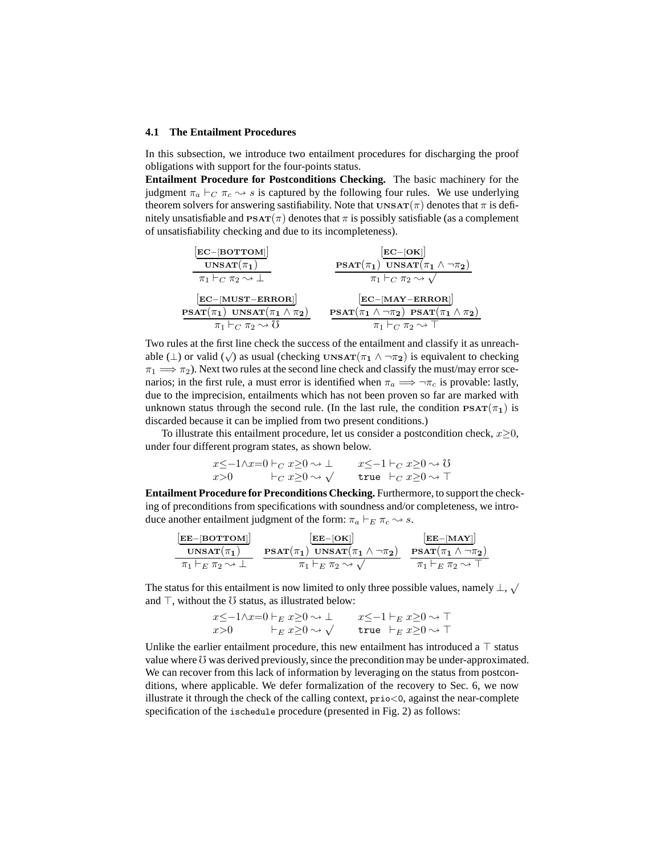#### **4.1 The Entailment Procedures**

In this subsection, we introduce two entailment procedures for discharging the proof obligations with support for the four-points status.

**Entailment Procedure for Postconditions Checking.** The basic machinery for the judgment  $\pi_a \vdash_C \pi_c \leadsto s$  is captured by the following four rules. We use underlying theorem solvers for answering sastifiability. Note that  $\mathbf{u}_N = \mathbf{v}_N + \mathbf{v}_N$  denotes that  $\pi$  is definitely unsatisfiable and  $PSAT(\pi)$  denotes that  $\pi$  is possibly satisfiable (as a complement of unsatisfiability checking and due to its incompleteness).

| $ \text{EC}-[\text{BOTTOM}] $                              | $ EC- OK $                                                               |
|------------------------------------------------------------|--------------------------------------------------------------------------|
| UNSAT $(\pi_1)$                                            | <b>PSAT</b> $(\pi_1)$ <b>UNSAT</b> $(\pi_1 \land \neg \pi_2)$            |
| $\pi_1 \vdash_C \pi_2 \rightsquigarrow \bot$               | $\pi_1 \vdash_C \pi_2 \rightsquigarrow \sqrt{ }$                         |
| $\vert$ EC- $\vert$ MUST-ERROR]                            | $ \text{EC}-[\text{MAY}-\text{ERROR}] $                                  |
| $\texttt{PSAT}(\pi_1) \texttt{ UNSAT}(\pi_1 \wedge \pi_2)$ | <b>PSAT</b> $(\pi_1 \land \neg \pi_2)$ <b>PSAT</b> $(\pi_1 \land \pi_2)$ |
| $\pi_1 \vdash_C \pi_2 \rightsquigarrow U$                  | $\pi_1 \vdash_C \pi_2 \rightsquigarrow \bot$                             |

Two rules at the first line check the success of the entailment and classify it as unreachable ( $\perp$ ) or valid ( $\sqrt{ }$ ) as usual (checking UNSAT( $\pi_1 \wedge \neg \pi_2$ ) is equivalent to checking  $\pi_1 \Longrightarrow \pi_2$ ). Next two rules at the second line check and classify the must/may error scenarios; in the first rule, a must error is identified when  $\pi_a \Longrightarrow \neg \pi_c$  is provable: lastly, due to the imprecision, entailments which has not been proven so far are marked with unknown status through the second rule. (In the last rule, the condition  $PSAT(\pi_1)$  is discarded because it can be implied from two present conditions.)

To illustrate this entailment procedure, let us consider a postcondition check,  $x\geq 0$ , under four different program states, as shown below.

$$
\begin{array}{ccc} x{\leq} -1 \wedge x{=}0 \vdash_C x {\geq} 0 \leadsto \bot & x{\leq} -1 \vdash_C x {\geq} 0 \leadsto \mho \\ x{>}0 & \vdash_C x {\geq} 0 \leadsto \sqrt{ } & \text{true } \vdash_C x {\geq} 0 \leadsto \top \end{array}
$$

**Entailment Procedure for Preconditions Checking.** Furthermore, to support the checking of preconditions from specifications with soundness and/or completeness, we introduce another entailment judgment of the form:  $\pi_a \vdash_E \pi_c \leadsto s$ .

$$
\frac{\text{[EE-[BOTTOM]]}}{\text{UNSAT}(\pi_1)} \quad \frac{\text{[EE-[OK]}}{\pi_1 \vdash_E \pi_2 \leadsto \bot} \quad \frac{\text{[EE-[OK]}}{\pi_1 \vdash_E \pi_2 \leadsto \sqrt{\ }} \quad \frac{\text{[EE-[MAX]}}{\pi_1 \vdash_E \pi_2 \leadsto \sqrt{\ }} \quad \frac{\text{PSAT}(\pi_1 \land \neg \pi_2)}{\pi_1 \vdash_E \pi_2 \leadsto \top}
$$

The status for this entailment is now limited to only three possible values, namely  $\bot, \sqrt{ }$ and  $\top$ , without the  $\sigma$  status, as illustrated below:

$$
\begin{array}{ccc} x{\leq} -1 \wedge x{=}0 \vdash_E x {\geq} 0 \leadsto \bot & x{\leq} -1 \vdash_E x {\geq} 0 \leadsto \top \\ x{>}0 & \vdash_E x {\geq} 0 \leadsto \sqrt{ } & \text{true } \vdash_E x {\geq} 0 \leadsto \top \end{array}
$$

Unlike the earlier entailment procedure, this new entailment has introduced a ⊤ status value where ℧ was derived previously, since the precondition may be under-approximated. We can recover from this lack of information by leveraging on the status from postconditions, where applicable. We defer formalization of the recovery to Sec. 6, we now illustrate it through the check of the calling context, prio<0, against the near-complete specification of the ischedule procedure (presented in Fig. 2) as follows: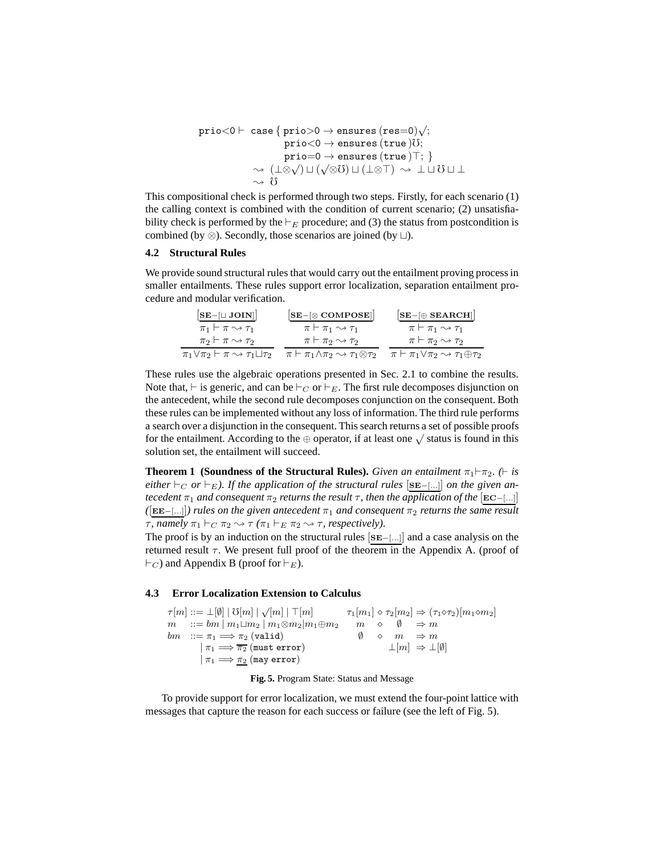$$
\begin{array}{l} \texttt{prio<0}\vdash\texttt{case}\{\texttt{prio>0}\rightarrow\texttt{ensures}\,(\texttt{res=0})\sqrt{;}\\ \texttt{prio<0}\rightarrow\texttt{ensures}\,(\texttt{true})\mho;\}\\\texttt{prio=0}\rightarrow\texttt{ensures}\,(\texttt{true})\top;\}\quad\quad\\\quad\rightsquigarrow(\bot\otimes\sqrt{})\sqcup(\sqrt\otimes\mho)\sqcup(\bot\otimes\top)\rightsquigarrow\bot\sqcup\mho\sqcup\bot\\ \quad\rightsquigarrow\mho\end{array}
$$

This compositional check is performed through two steps. Firstly, for each scenario (1) the calling context is combined with the condition of current scenario; (2) unsatisfiability check is performed by the  $\vdash_E$  procedure; and (3) the status from postcondition is combined (by  $\otimes$ ). Secondly, those scenarios are joined (by  $\sqcup$ ).

#### **4.2 Structural Rules**

We provide sound structural rules that would carry out the entailment proving process in smaller entailments. These rules support error localization, separation entailment procedure and modular verification.

| $\left[\texttt{SE}-[\sqcup \texttt{JOIN}]\right]$                   | $\left[\texttt{SE}-\left[\otimes\texttt{COMPOSE}\right]\right]$ | $\left[\texttt{SE}-\left[\oplus \texttt{SEARCH}\right]\right]$ |
|---------------------------------------------------------------------|-----------------------------------------------------------------|----------------------------------------------------------------|
| $\pi_1 \vdash \pi \leadsto \tau_1$                                  | $\pi \vdash \pi_1 \rightsquigarrow \tau_1$                      | $\pi \vdash \pi_1 \rightsquigarrow \tau_1$                     |
| $\pi_2 \vdash \pi \rightsquigarrow \tau_2$                          | $\pi \vdash \pi_2 \rightsquigarrow \tau_2$                      | $\pi \vdash \pi_2 \rightsquigarrow \tau_2$                     |
| $\pi_1 \vee \pi_2 \vdash \pi \rightsquigarrow \tau_1 \sqcup \tau_2$ | $\pi \vdash \pi_1 \wedge \pi_2 \leadsto \tau_1 \otimes \tau_2$  | $\pi \vdash \pi_1 \lor \pi_2 \leadsto \tau_1 \oplus \tau_2$    |

These rules use the algebraic operations presented in Sec. 2.1 to combine the results. Note that,  $\vdash$  is generic, and can be  $\vdash_C$  or  $\vdash_E$ . The first rule decomposes disjunction on the antecedent, while the second rule decomposes conjunction on the consequent. Both these rules can be implemented without any loss of information. The third rule performs a search over a disjunction in the consequent. This search returns a set of possible proofs for the entailment. According to the  $oplus$  operator, if at least one  $\sqrt{\ }$  status is found in this solution set, the entailment will succeed.

**Theorem 1 (Soundness of the Structural Rules).** *Given an entailment*  $\pi_1 \vdash \pi_2$ . (⊢ *is either*  $\vdash_C$  *or*  $\vdash_E$ *). If the application of the structural rules* [SE−[...]] *on the given antecedent*  $\pi_1$  *and consequent*  $\pi_2$  *returns the result*  $\tau$ *, then the application of the* [EC−[...]]  $(\mathbf{[EE} - [\ldots])$  rules on the given antecedent  $\pi_1$  and consequent  $\pi_2$  returns the same result *τ*, *namely*  $π₁ ⊢<sub>C</sub> π₂ → τ (π₁ ⊢<sub>E</sub> π₂ → τ, respectively).$ 

The proof is by an induction on the structural rules [SE−[...]] and a case analysis on the returned result  $\tau$ . We present full proof of the theorem in the Appendix A. (proof of  $\vdash_C$ ) and Appendix B (proof for  $\vdash_E$ ).

#### **4.3 Error Localization Extension to Calculus**

 $\tau[m] ::= \bot[\emptyset] | \mathfrak{V}[m] | \sqrt{m}] | \top[m]$  $m$  ::=  $bm \mid m_1 \sqcup m_2 \mid m_1 \otimes m_2 \mid m_1 \oplus m_2 \quad m \quad \diamond \quad \emptyset \quad \Rightarrow m$ bm  $:= \pi_1 \Longrightarrow \pi_2$  (valid)  $|\pi_1 \implies \overline{\pi_2}$  (must error)  $|\pi_1 \implies \pi_2$  (may error)  $\tau_1[m_1] \diamond \tau_2[m_2] \Rightarrow (\tau_1 \diamond \tau_2)[m_1 \diamond m_2]$  $\varnothing \quad \diamond \quad m \quad \Rightarrow m$  $\perp[m] \Rightarrow \perp[\emptyset]$ 

| Fig. 5. Program State: Status and Message |  |  |  |
|-------------------------------------------|--|--|--|
|                                           |  |  |  |

To provide support for error localization, we must extend the four-point lattice with messages that capture the reason for each success or failure (see the left of Fig. 5).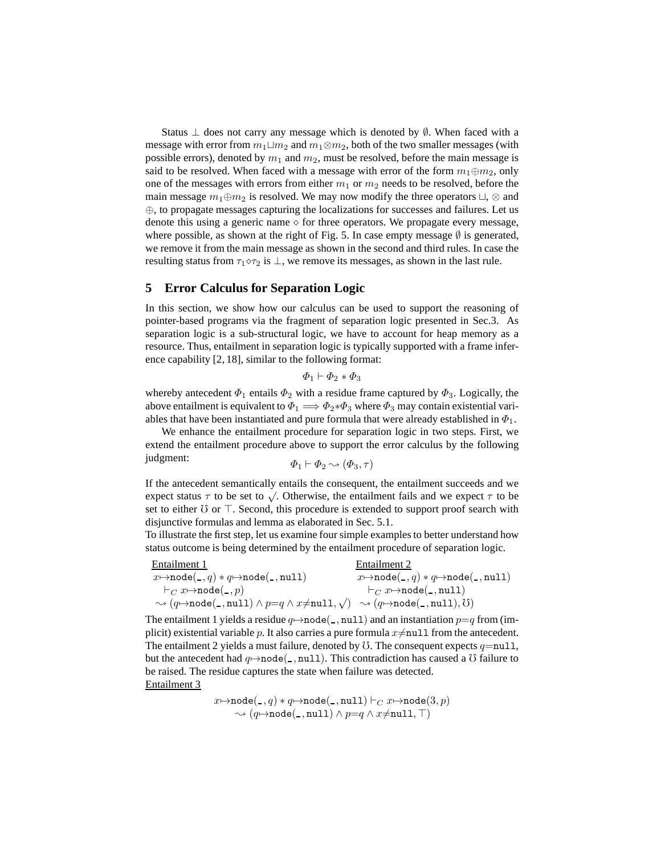Status  $\perp$  does not carry any message which is denoted by  $\emptyset$ . When faced with a message with error from  $m_1 \sqcup m_2$  and  $m_1 \otimes m_2$ , both of the two smaller messages (with possible errors), denoted by  $m_1$  and  $m_2$ , must be resolved, before the main message is said to be resolved. When faced with a message with error of the form  $m_1 \oplus m_2$ , only one of the messages with errors from either  $m_1$  or  $m_2$  needs to be resolved, before the main message  $m_1 \oplus m_2$  is resolved. We may now modify the three operators  $\sqcup$ , ⊗ and ⊕, to propagate messages capturing the localizations for successes and failures. Let us denote this using a generic name  $\diamond$  for three operators. We propagate every message, where possible, as shown at the right of Fig. 5. In case empty message  $\emptyset$  is generated, we remove it from the main message as shown in the second and third rules. In case the resulting status from  $\tau_1 \diamond \tau_2$  is  $\bot$ , we remove its messages, as shown in the last rule.

# **5 Error Calculus for Separation Logic**

In this section, we show how our calculus can be used to support the reasoning of pointer-based programs via the fragment of separation logic presented in Sec.3. As separation logic is a sub-structural logic, we have to account for heap memory as a resource. Thus, entailment in separation logic is typically supported with a frame inference capability [2, 18], similar to the following format:

$$
\varPhi_1 \vdash \varPhi_2 * \varPhi_3
$$

whereby antecedent  $\Phi_1$  entails  $\Phi_2$  with a residue frame captured by  $\Phi_3$ . Logically, the above entailment is equivalent to  $\Phi_1 \Longrightarrow \Phi_2 * \Phi_3$  where  $\Phi_3$  may contain existential variables that have been instantiated and pure formula that were already established in  $\Phi_1$ .

We enhance the entailment procedure for separation logic in two steps. First, we extend the entailment procedure above to support the error calculus by the following judgment:  $\Phi_1 \vdash \Phi_2 \leadsto (\Phi_3, \tau)$ 

$$
\varPhi_1 \vdash \varPhi_2 \leadsto (\varPhi_3, \tau)
$$

If the antecedent semantically entails the consequent, the entailment succeeds and we expect status  $\tau$  to be set to  $\sqrt{\cdot}$ . Otherwise, the entailment fails and we expect  $\tau$  to be set to either ℧ or ⊤. Second, this procedure is extended to support proof search with disjunctive formulas and lemma as elaborated in Sec. 5.1.

To illustrate the first step, let us examine four simple examples to better understand how status outcome is being determined by the entailment procedure of separation logic.

| Entailment 1                                                                                                                                                                    | Entailment 2                                                                |
|---------------------------------------------------------------------------------------------------------------------------------------------------------------------------------|-----------------------------------------------------------------------------|
| $x \mapsto \texttt{node}(\_,q) * q \mapsto \texttt{node}(\_,\texttt{null})$                                                                                                     | $x \mapsto \texttt{node}(\_,q) * q \mapsto \texttt{node}(\_,\texttt{null})$ |
| $\vdash_C x \mapsto \mathtt{node}(\_,p)$                                                                                                                                        | $\vdash_C x \mapsto \text{node}(\_,\text{null})$                            |
| $\rightsquigarrow$ $(q \mapsto \text{node}(\_, \text{null}) \land p = q \land x \neq \text{null}, \sqrt{)} \rightsquigarrow (q \mapsto \text{node}(\_, \text{null}), \text{0})$ |                                                                             |

The entailment 1 yields a residue  $q\mapsto$ node(,,null) and an instantiation  $p=q$  from (implicit) existential variable p. It also carries a pure formula  $x\neq \text{null}$  from the antecedent. The entailment 2 yields a must failure, denoted by  $\mathcal{O}$ . The consequent expects  $q=$ null, but the antecedent had  $q \mapsto \text{node}(\_,\text{null})$ . This contradiction has caused a U failure to be raised. The residue captures the state when failure was detected. Entailment 3

$$
x \mapsto \texttt{node}(\_,q) * q \mapsto \texttt{node}(\_,\texttt{null}) \vdash_C x \mapsto \texttt{node}(3,p) \\ \sim (q \mapsto \texttt{node}(\_,\texttt{null}) \land p = q \land x \neq \texttt{null}, \top)
$$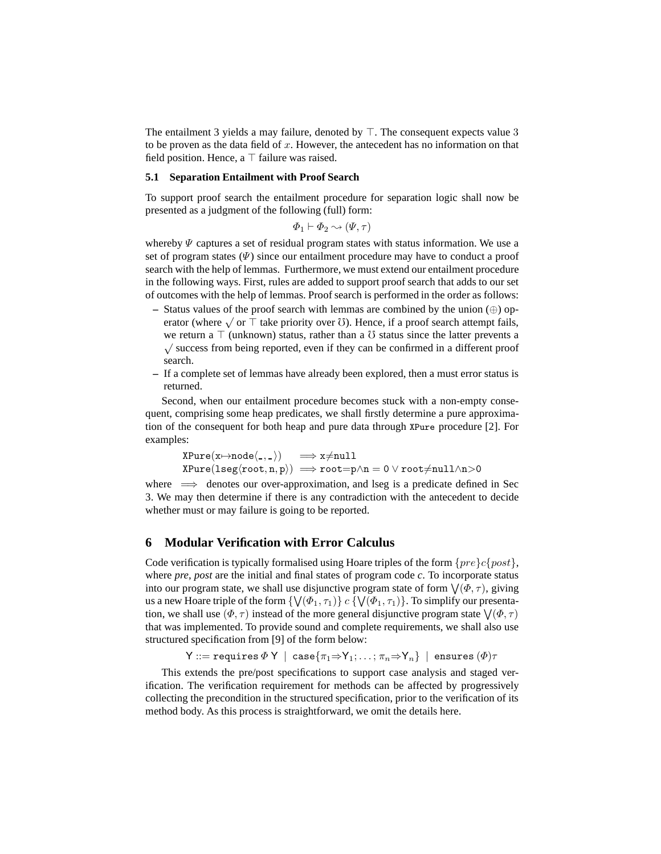The entailment 3 yields a may failure, denoted by  $\top$ . The consequent expects value 3 to be proven as the data field of  $x$ . However, the antecedent has no information on that field position. Hence, a  $⊤$  failure was raised.

# **5.1 Separation Entailment with Proof Search**

To support proof search the entailment procedure for separation logic shall now be presented as a judgment of the following (full) form:

$$
\varPhi_1 \vdash \varPhi_2 \leadsto (\varPsi, \tau)
$$

whereby  $\Psi$  captures a set of residual program states with status information. We use a set of program states  $(\Psi)$  since our entailment procedure may have to conduct a proof search with the help of lemmas. Furthermore, we must extend our entailment procedure in the following ways. First, rules are added to support proof search that adds to our set of outcomes with the help of lemmas. Proof search is performed in the order as follows:

- **–** Status values of the proof search with lemmas are combined by the union (⊕) operator (where  $\sqrt{$  or  $\top$  take priority over  $\sigma$ ). Hence, if a proof search attempt fails, we return a ⊤ (unknown) status, rather than a U status since the latter prevents a √ success from being reported, even if they can be confirmed in a different proof search.
- **–** If a complete set of lemmas have already been explored, then a must error status is returned.

Second, when our entailment procedure becomes stuck with a non-empty consequent, comprising some heap predicates, we shall firstly determine a pure approximation of the consequent for both heap and pure data through XPure procedure [2]. For examples:

 $XPure(x \mapsto node\langle \_ \, , \_ \rangle) \implies x \neq null$  $XPure(Iseg(root, n, p)) \implies root=p \wedge n = 0 \vee root \neq null \wedge n > 0$ 

where  $\implies$  denotes our over-approximation, and lseg is a predicate defined in Sec 3. We may then determine if there is any contradiction with the antecedent to decide whether must or may failure is going to be reported.

# **6 Modular Verification with Error Calculus**

Code verification is typically formalised using Hoare triples of the form  $\{pre\}c\{post\}$ , where *pre*, *post* are the initial and final states of program code *c*. To incorporate status into our program state, we shall use disjunctive program state of form  $\bigvee (\Phi, \tau)$ , giving us a new Hoare triple of the form  $\{\setminus (\Phi_1, \tau_1)\}$  c  $\{\setminus (\Phi_1, \tau_1)\}$ . To simplify our presentation, we shall use  $(\Phi, \tau)$  instead of the more general disjunctive program state  $\bigvee(\Phi, \tau)$ that was implemented. To provide sound and complete requirements, we shall also use structured specification from [9] of the form below:

 $Y ::= \text{requires } \Phi \mid \mathsf{case} \{\pi_1 \Rightarrow Y_1; \ldots; \pi_n \Rightarrow Y_n\} \mid \text{ ensures } (\Phi) \tau$ 

This extends the pre/post specifications to support case analysis and staged verification. The verification requirement for methods can be affected by progressively collecting the precondition in the structured specification, prior to the verification of its method body. As this process is straightforward, we omit the details here.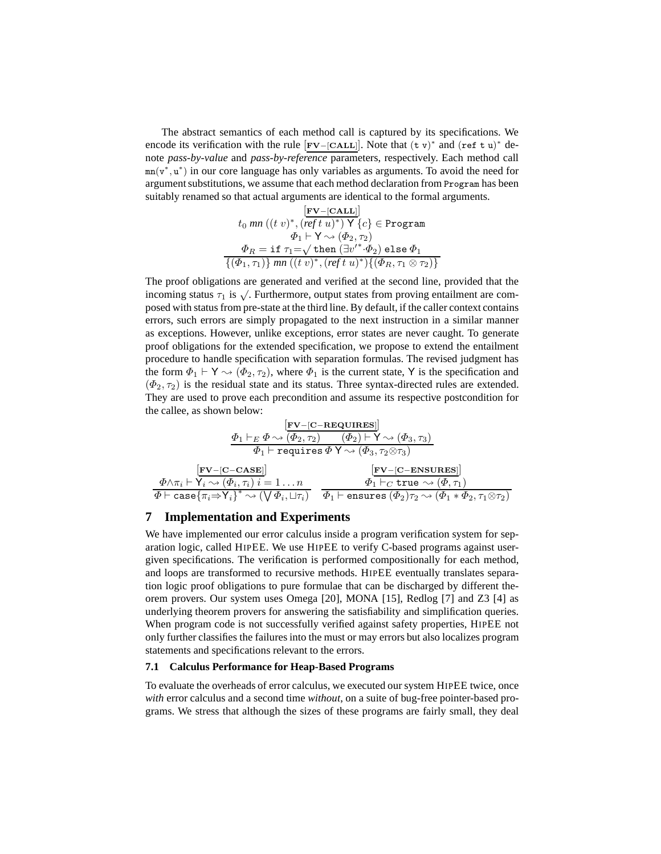The abstract semantics of each method call is captured by its specifications. We encode its verification with the rule  $[{\bf Fv} - [{\bf CALL}]$ . Note that  $({\bf t}\,{\bf v})^*$  and  $({\bf ref}\,{\bf t}\,{\bf u})^*$  denote *pass-by-value* and *pass-by-reference* parameters, respectively. Each method call  $mn(v^*, u^*)$  in our core language has only variables as arguments. To avoid the need for argument substitutions, we assume that each method declaration from Program has been suitably renamed so that actual arguments are identical to the formal arguments.

$$
\begin{array}{c} [\underline{F}{\bf V}-[{\bf C}{\bf A}{\bf L}{\bf L}]] \\ t_0 \;mn\;((t\;v)^*,(ref\;t\;u)^*)\; {\bf Y}\left\{c\right\} \in {\bf Program} \\ \varPhi_1 \vdash {\bf Y} \leadsto (\varPhi_2,\tau_2) \\ \varPhi_R = {\bf i}\; \tau_1 {=} \surd \; {\bf then} \;(\exists v'^*\cdot \varPhi_2) \;{\bf else} \; \varPhi_1 \\ \overline{\left\{(\varPhi_1,\tau_1)\right\}}\;mn\;((t\;v)^*,(ref\;t\;u)^*)\left\{(\varPhi_R,\tau_1\otimes\tau_2)\right\}} \end{array}
$$

The proof obligations are generated and verified at the second line, provided that the incoming status  $\tau_1$  is  $\sqrt{ }$ . Furthermore, output states from proving entailment are composed with status from pre-state at the third line. By default, if the caller context contains errors, such errors are simply propagated to the next instruction in a similar manner as exceptions. However, unlike exceptions, error states are never caught. To generate proof obligations for the extended specification, we propose to extend the entailment procedure to handle specification with separation formulas. The revised judgment has the form  $\Phi_1 \vdash Y \leadsto (\Phi_2, \tau_2)$ , where  $\Phi_1$  is the current state, Y is the specification and  $(\Phi_2, \tau_2)$  is the residual state and its status. Three syntax-directed rules are extended. They are used to prove each precondition and assume its respective postcondition for the callee, as shown below:

$$
\frac{\left[\text{FV} - \text{[C-REQUIRES]}\right]}{\Phi_1 \vdash_E \Phi \leadsto (\Phi_2, \tau_2) \qquad (\Phi_2) \vdash \text{Y} \leadsto (\Phi_3, \tau_3)}{\Phi_1 \vdash \text{requires } \Phi \text{Y} \leadsto (\Phi_3, \tau_2 \otimes \tau_3)}
$$
\n
$$
\frac{\left[\text{FV} - \text{[C-CASE]}\right]}{\Phi \land \pi_i \vdash \text{Y}_i \leadsto (\Phi_i, \tau_i) \ i = 1 \dots n} \qquad \frac{\left[\text{FV} - \text{[C-ENSURES]}\right]}{\Phi_1 \vdash_C \text{true } \leadsto (\Phi, \tau_1)}
$$
\n
$$
\Phi \vdash \text{case} \{\pi_i \Rightarrow \text{Y}_i\}^* \leadsto (\text{V} \Phi_i, \sqcup \tau_i) \qquad \overline{\Phi_1 \vdash \text{ensures } (\Phi_2) \tau_2 \leadsto (\Phi_1 * \Phi_2, \tau_1 \otimes \tau_2)}
$$

## **7 Implementation and Experiments**

We have implemented our error calculus inside a program verification system for separation logic, called HIPEE. We use HIPEE to verify C-based programs against usergiven specifications. The verification is performed compositionally for each method, and loops are transformed to recursive methods. HIPEE eventually translates separation logic proof obligations to pure formulae that can be discharged by different theorem provers. Our system uses Omega [20], MONA [15], Redlog [7] and Z3 [4] as underlying theorem provers for answering the satisfiability and simplification queries. When program code is not successfully verified against safety properties, HIPEE not only further classifies the failures into the must or may errors but also localizes program statements and specifications relevant to the errors.

#### **7.1 Calculus Performance for Heap-Based Programs**

To evaluate the overheads of error calculus, we executed our system HIPEE twice, once *with* error calculus and a second time *without*, on a suite of bug-free pointer-based programs. We stress that although the sizes of these programs are fairly small, they deal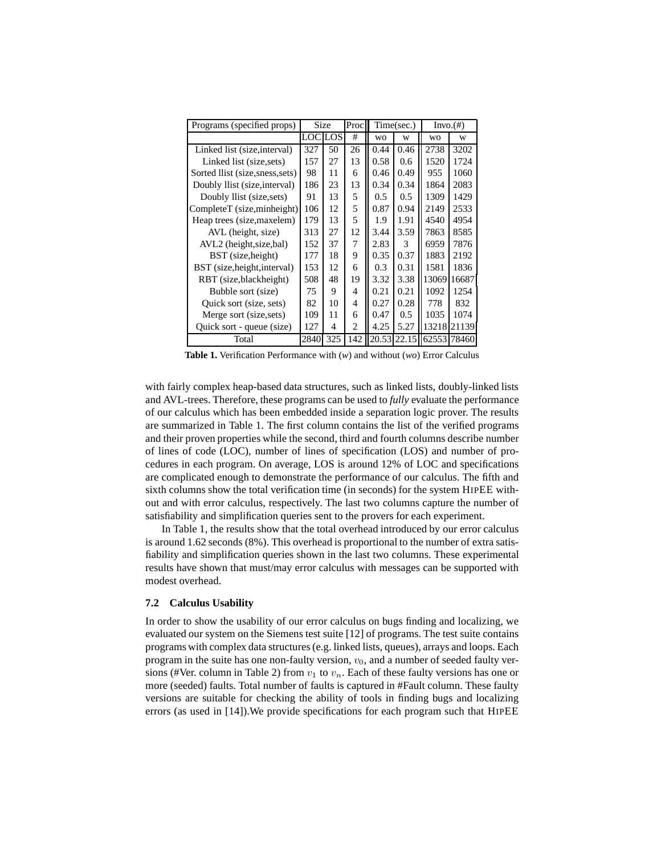| Programs (specified props)       | Size |            | Proc           |           | Time(sec.)    | Invo.(#)  |       |
|----------------------------------|------|------------|----------------|-----------|---------------|-----------|-------|
|                                  | LOC  | <b>LOS</b> | #              | <b>WO</b> | W             | <b>WO</b> | W     |
| Linked list (size, interval)     | 327  | 50         | 26             | 0.44      | 0.46          | 2738      | 3202  |
| Linked list (size, sets)         | 157  | 27         | 13             | 0.58      | $0.6^{\circ}$ | 1520      | 1724  |
| Sorted llist (size, sness, sets) | 98   | 11         | 6              | 0.46      | 0.49          | 955       | 1060  |
| Doubly llist (size, interval)    | 186  | 23         | 13             | 0.34      | 0.34          | 1864      | 2083  |
| Doubly llist (size, sets)        | 91   | 13         | 5              | 0.5       | $0.5^{\circ}$ | 1309      | 1429  |
| CompleteT (size, minheight)      | 106  | 12         | 5              | 0.87      | 0.94          | 2149      | 2533  |
| Heap trees (size, maxelem)       | 179  | 13         | 5              | 1.9       | 1.91          | 4540      | 4954  |
| AVL (height, size)               | 313  | 27         | 12             | 3.44      | 3.59          | 7863      | 8585  |
| AVL2 (height, size, bal)         | 152  | 37         | 7              | 2.83      | 3             | 6959      | 7876  |
| BST (size, height)               | 177  | 18         | 9              | 0.35      | 0.37          | 1883      | 2192  |
| BST (size, height, interval)     | 153  | 12         | 6              | 0.3       | 0.31          | 1581      | 1836  |
| RBT (size, blackheight)          | 508  | 48         | 19             | 3.32      | 3.38          | 13069     | 16687 |
| Bubble sort (size)               | 75   | 9          | $\overline{4}$ | 0.21      | 0.21          | 1092      | 1254  |
| Quick sort (size, sets)          | 82   | 10         | 4              | 0.27      | 0.28          | 778       | 832   |
| Merge sort (size, sets)          | 109  | 11         | 6              | 0.47      | 0.5           | 1035      | 1074  |
| Quick sort - queue (size)        | 127  | 4          | $\overline{c}$ | 4.25      | 5.27          | 13218     | 21139 |
| Total                            | 2840 | 325        | 142            | 20.53     | 22.15         | 62553     | 78460 |

**Table 1.** Verification Performance with (*w*) and without (*wo*) Error Calculus

with fairly complex heap-based data structures, such as linked lists, doubly-linked lists and AVL-trees. Therefore, these programs can be used to *fully* evaluate the performance of our calculus which has been embedded inside a separation logic prover. The results are summarized in Table 1. The first column contains the list of the verified programs and their proven properties while the second, third and fourth columns describe number of lines of code (LOC), number of lines of specification (LOS) and number of procedures in each program. On average, LOS is around 12% of LOC and specifications are complicated enough to demonstrate the performance of our calculus. The fifth and sixth columns show the total verification time (in seconds) for the system HIPEE without and with error calculus, respectively. The last two columns capture the number of satisfiability and simplification queries sent to the provers for each experiment.

In Table 1, the results show that the total overhead introduced by our error calculus is around 1.62 seconds (8%). This overhead is proportional to the number of extra satisfiability and simplification queries shown in the last two columns. These experimental results have shown that must/may error calculus with messages can be supported with modest overhead.

#### **7.2 Calculus Usability**

In order to show the usability of our error calculus on bugs finding and localizing, we evaluated our system on the Siemens test suite [12] of programs. The test suite contains programs with complex data structures (e.g. linked lists, queues), arrays and loops. Each program in the suite has one non-faulty version,  $v_0$ , and a number of seeded faulty versions (#Ver. column in Table 2) from  $v_1$  to  $v_n$ . Each of these faulty versions has one or more (seeded) faults. Total number of faults is captured in #Fault column. These faulty versions are suitable for checking the ability of tools in finding bugs and localizing errors (as used in [14]).We provide specifications for each program such that HIPEE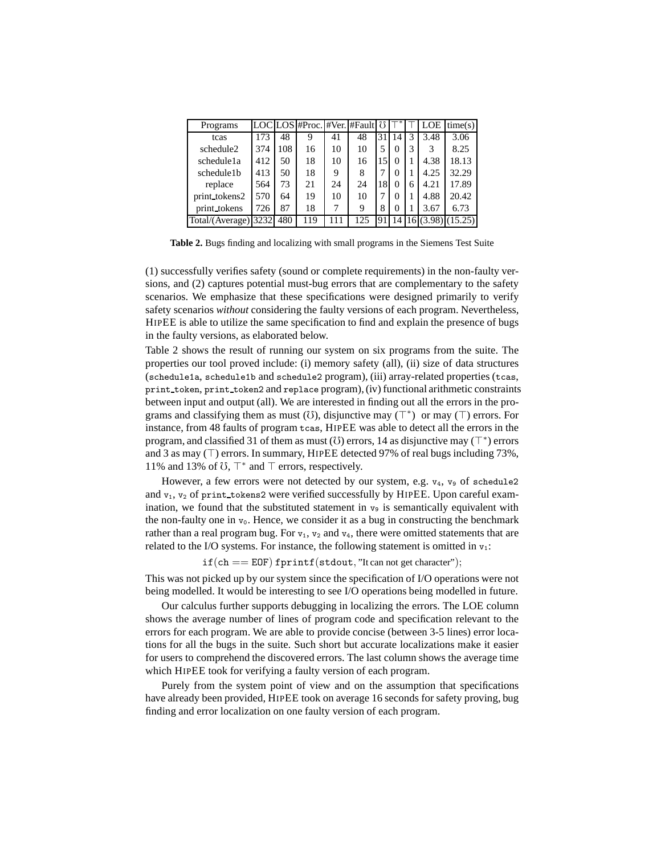| Programs               |     |     |     |    | LOC LOS #Proc. #Ver. #Fault $\delta$ |    | '*       |   | LOE      | time(s) |
|------------------------|-----|-----|-----|----|--------------------------------------|----|----------|---|----------|---------|
| tcas                   | 173 | 48  | 9   | 41 | 48                                   | 31 | 14       | 3 | 3.48     | 3.06    |
| schedule2              | 374 | 108 | 16  | 10 | 10                                   | 5  | $\Omega$ | 3 |          | 8.25    |
| schedule <sub>1a</sub> | 412 | 50  | 18  | 10 | 16                                   | 15 | 0        |   | 4.38     | 18.13   |
| schedule1b             | 413 | 50  | 18  | 9  |                                      |    | 0        |   | 4.25     | 32.29   |
| replace                | 564 | 73  | 21  | 24 | 24                                   | 18 | $\theta$ | 6 | 4.21     | 17.89   |
| print_tokens2          | 570 | 64  | 19  | 10 | 10                                   |    | 0        |   | 4.88     | 20.42   |
| print_tokens           | 726 | 87  | 18  | 7  | 9                                    | 8  | 0        |   | 3.67     | 6.73    |
| Total/(Average) 3232   |     | 480 | 119 |    | 125                                  | 91 |          |   | 16(3.98) | (15.25) |

**Table 2.** Bugs finding and localizing with small programs in the Siemens Test Suite

(1) successfully verifies safety (sound or complete requirements) in the non-faulty versions, and (2) captures potential must-bug errors that are complementary to the safety scenarios. We emphasize that these specifications were designed primarily to verify safety scenarios *without* considering the faulty versions of each program. Nevertheless, HIPEE is able to utilize the same specification to find and explain the presence of bugs in the faulty versions, as elaborated below.

Table 2 shows the result of running our system on six programs from the suite. The properties our tool proved include: (i) memory safety (all), (ii) size of data structures (schedule1a, schedule1b and schedule2 program), (iii) array-related properties (tcas, print token, print token2 and replace program), (iv) functional arithmetic constraints between input and output (all). We are interested in finding out all the errors in the programs and classifying them as must (U), disjunctive may  $(\top^*)$  or may  $(\top)$  errors. For instance, from 48 faults of program tcas, HIPEE was able to detect all the errors in the program, and classified 31 of them as must ( $\sigma$ ) errors, 14 as disjunctive may ( $\tau^*$ ) errors and 3 as may (⊤) errors. In summary, HIPEE detected 97% of real bugs including 73%, 11% and 13% of  $\mho$ ,  $\top^*$  and  $\top$  errors, respectively.

However, a few errors were not detected by our system, e.g.  $v_4$ ,  $v_9$  of schedule2 and  $v_1$ ,  $v_2$  of print\_tokens2 were verified successfully by HIPEE. Upon careful examination, we found that the substituted statement in  $v_9$  is semantically equivalent with the non-faulty one in  $v_0$ . Hence, we consider it as a bug in constructing the benchmark rather than a real program bug. For  $v_1$ ,  $v_2$  and  $v_4$ , there were omitted statements that are related to the I/O systems. For instance, the following statement is omitted in  $v_1$ :

 $if(ch == EOF)$  fprintf(stdout, "It can not get character");

This was not picked up by our system since the specification of I/O operations were not being modelled. It would be interesting to see I/O operations being modelled in future.

Our calculus further supports debugging in localizing the errors. The LOE column shows the average number of lines of program code and specification relevant to the errors for each program. We are able to provide concise (between 3-5 lines) error locations for all the bugs in the suite. Such short but accurate localizations make it easier for users to comprehend the discovered errors. The last column shows the average time which HIPEE took for verifying a faulty version of each program.

Purely from the system point of view and on the assumption that specifications have already been provided, HIPEE took on average 16 seconds for safety proving, bug finding and error localization on one faulty version of each program.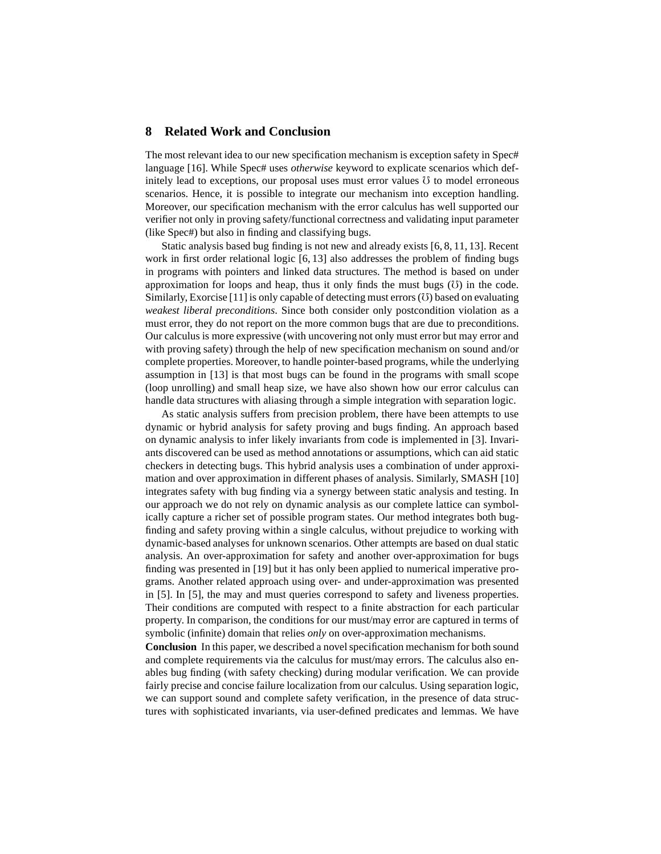# **8 Related Work and Conclusion**

The most relevant idea to our new specification mechanism is exception safety in Spec# language [16]. While Spec# uses *otherwise* keyword to explicate scenarios which definitely lead to exceptions, our proposal uses must error values  $\sigma$  to model erroneous scenarios. Hence, it is possible to integrate our mechanism into exception handling. Moreover, our specification mechanism with the error calculus has well supported our verifier not only in proving safety/functional correctness and validating input parameter (like Spec#) but also in finding and classifying bugs.

Static analysis based bug finding is not new and already exists [6, 8, 11, 13]. Recent work in first order relational logic [6, 13] also addresses the problem of finding bugs in programs with pointers and linked data structures. The method is based on under approximation for loops and heap, thus it only finds the must bugs  $(\delta)$  in the code. Similarly, Exorcise [11] is only capable of detecting must errors  $(\delta)$  based on evaluating *weakest liberal preconditions*. Since both consider only postcondition violation as a must error, they do not report on the more common bugs that are due to preconditions. Our calculus is more expressive (with uncovering not only must error but may error and with proving safety) through the help of new specification mechanism on sound and/or complete properties. Moreover, to handle pointer-based programs, while the underlying assumption in [13] is that most bugs can be found in the programs with small scope (loop unrolling) and small heap size, we have also shown how our error calculus can handle data structures with aliasing through a simple integration with separation logic.

As static analysis suffers from precision problem, there have been attempts to use dynamic or hybrid analysis for safety proving and bugs finding. An approach based on dynamic analysis to infer likely invariants from code is implemented in [3]. Invariants discovered can be used as method annotations or assumptions, which can aid static checkers in detecting bugs. This hybrid analysis uses a combination of under approximation and over approximation in different phases of analysis. Similarly, SMASH [10] integrates safety with bug finding via a synergy between static analysis and testing. In our approach we do not rely on dynamic analysis as our complete lattice can symbolically capture a richer set of possible program states. Our method integrates both bugfinding and safety proving within a single calculus, without prejudice to working with dynamic-based analyses for unknown scenarios. Other attempts are based on dual static analysis. An over-approximation for safety and another over-approximation for bugs finding was presented in [19] but it has only been applied to numerical imperative programs. Another related approach using over- and under-approximation was presented in [5]. In [5], the may and must queries correspond to safety and liveness properties. Their conditions are computed with respect to a finite abstraction for each particular property. In comparison, the conditions for our must/may error are captured in terms of symbolic (infinite) domain that relies *only* on over-approximation mechanisms.

**Conclusion** In this paper, we described a novel specification mechanism for both sound and complete requirements via the calculus for must/may errors. The calculus also enables bug finding (with safety checking) during modular verification. We can provide fairly precise and concise failure localization from our calculus. Using separation logic, we can support sound and complete safety verification, in the presence of data structures with sophisticated invariants, via user-defined predicates and lemmas. We have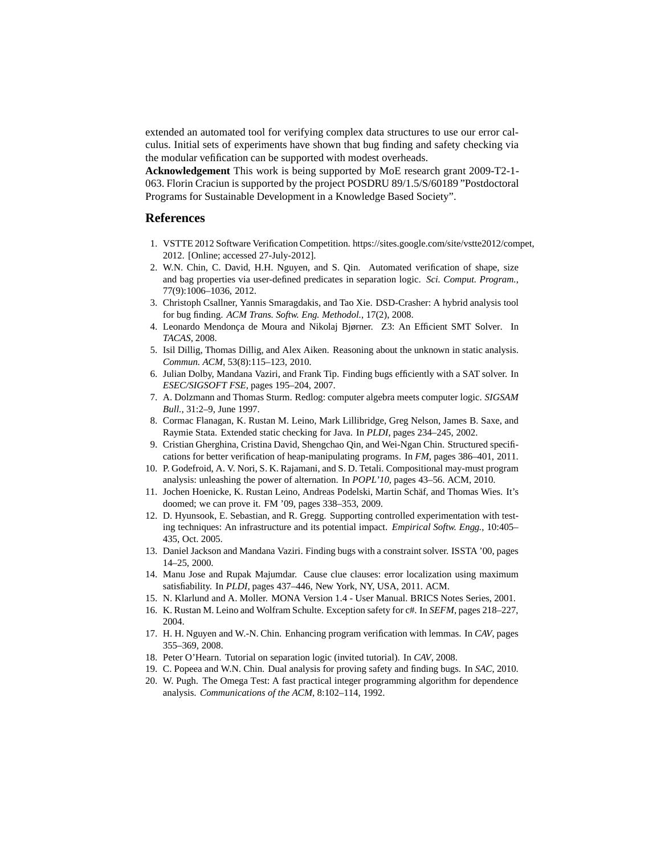extended an automated tool for verifying complex data structures to use our error calculus. Initial sets of experiments have shown that bug finding and safety checking via the modular vefification can be supported with modest overheads.

**Acknowledgement** This work is being supported by MoE research grant 2009-T2-1- 063. Florin Craciun is supported by the project POSDRU 89/1.5/S/60189 "Postdoctoral Programs for Sustainable Development in a Knowledge Based Society".

# **References**

- 1. VSTTE 2012 Software Verification Competition. https://sites.google.com/site/vstte2012/compet, 2012. [Online; accessed 27-July-2012].
- 2. W.N. Chin, C. David, H.H. Nguyen, and S. Qin. Automated verification of shape, size and bag properties via user-defined predicates in separation logic. *Sci. Comput. Program.*, 77(9):1006–1036, 2012.
- 3. Christoph Csallner, Yannis Smaragdakis, and Tao Xie. DSD-Crasher: A hybrid analysis tool for bug finding. *ACM Trans. Softw. Eng. Methodol.*, 17(2), 2008.
- 4. Leonardo Mendonça de Moura and Nikolaj Bjørner. Z3: An Efficient SMT Solver. In *TACAS*, 2008.
- 5. Isil Dillig, Thomas Dillig, and Alex Aiken. Reasoning about the unknown in static analysis. *Commun. ACM*, 53(8):115–123, 2010.
- 6. Julian Dolby, Mandana Vaziri, and Frank Tip. Finding bugs efficiently with a SAT solver. In *ESEC/SIGSOFT FSE*, pages 195–204, 2007.
- 7. A. Dolzmann and Thomas Sturm. Redlog: computer algebra meets computer logic. *SIGSAM Bull.*, 31:2–9, June 1997.
- 8. Cormac Flanagan, K. Rustan M. Leino, Mark Lillibridge, Greg Nelson, James B. Saxe, and Raymie Stata. Extended static checking for Java. In *PLDI*, pages 234–245, 2002.
- 9. Cristian Gherghina, Cristina David, Shengchao Qin, and Wei-Ngan Chin. Structured specifications for better verification of heap-manipulating programs. In *FM*, pages 386–401, 2011.
- 10. P. Godefroid, A. V. Nori, S. K. Rajamani, and S. D. Tetali. Compositional may-must program analysis: unleashing the power of alternation. In *POPL'10*, pages 43–56. ACM, 2010.
- 11. Jochen Hoenicke, K. Rustan Leino, Andreas Podelski, Martin Schäf, and Thomas Wies. It's doomed; we can prove it. FM '09, pages 338–353, 2009.
- 12. D. Hyunsook, E. Sebastian, and R. Gregg. Supporting controlled experimentation with testing techniques: An infrastructure and its potential impact. *Empirical Softw. Engg.*, 10:405– 435, Oct. 2005.
- 13. Daniel Jackson and Mandana Vaziri. Finding bugs with a constraint solver. ISSTA '00, pages 14–25, 2000.
- 14. Manu Jose and Rupak Majumdar. Cause clue clauses: error localization using maximum satisfiability. In *PLDI*, pages 437–446, New York, NY, USA, 2011. ACM.
- 15. N. Klarlund and A. Moller. MONA Version 1.4 User Manual. BRICS Notes Series, 2001.
- 16. K. Rustan M. Leino and Wolfram Schulte. Exception safety for c#. In *SEFM*, pages 218–227, 2004.
- 17. H. H. Nguyen and W.-N. Chin. Enhancing program verification with lemmas. In *CAV*, pages 355–369, 2008.
- 18. Peter O'Hearn. Tutorial on separation logic (invited tutorial). In *CAV*, 2008.
- 19. C. Popeea and W.N. Chin. Dual analysis for proving safety and finding bugs. In *SAC*, 2010.
- 20. W. Pugh. The Omega Test: A fast practical integer programming algorithm for dependence analysis. *Communications of the ACM*, 8:102–114, 1992.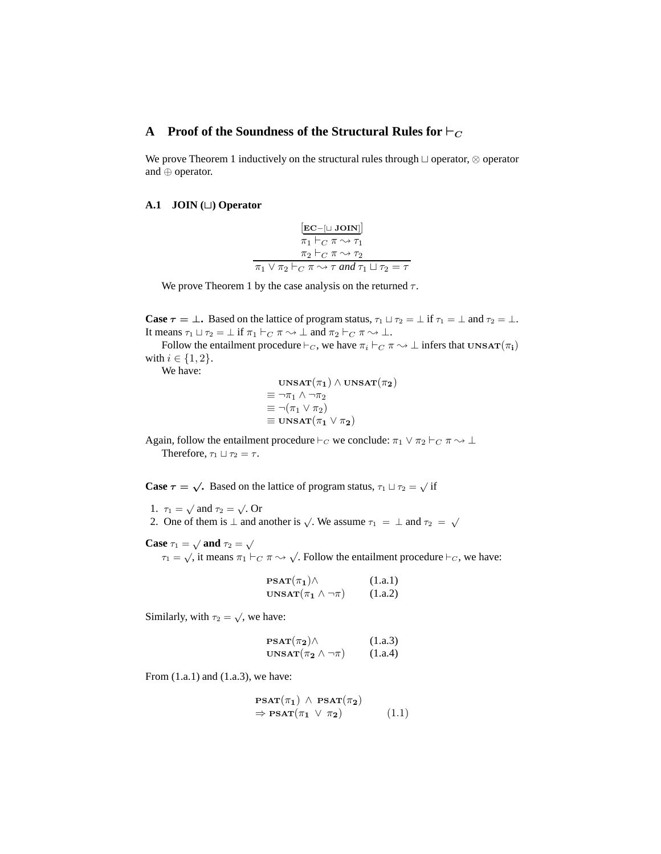# **A** Proof of the Soundness of the Structural Rules for  $\vdash_C$

We prove Theorem 1 inductively on the structural rules through ⊔ operator, ⊗ operator and ⊕ operator.

#### **A.1 JOIN (**⊔**) Operator**

| $\left \mathbf{EC-}\left[\sqcup\, \mathbf{JOIN}\right]\right $                  |
|---------------------------------------------------------------------------------|
| $\pi_1 \vdash_C \pi \rightsquigarrow \tau_1$                                    |
| $\pi_2 \vdash_C \pi \rightsquigarrow \tau_2$                                    |
| $\pi_1 \vee \pi_2 \vdash_C \pi \leadsto \tau$ and $\tau_1 \sqcup \tau_2 = \tau$ |

We prove Theorem 1 by the case analysis on the returned  $\tau$ .

**Case**  $\tau = \bot$ **.** Based on the lattice of program status,  $\tau_1 \sqcup \tau_2 = \bot$  if  $\tau_1 = \bot$  and  $\tau_2 = \bot$ . It means  $\tau_1 \sqcup \tau_2 = \bot$  if  $\pi_1 \vdash_C \pi \leadsto \bot$  and  $\pi_2 \vdash_C \pi \leadsto \bot$ .

Follow the entailment procedure ⊢<sub>C</sub>, we have  $\pi_i \vdash_C \pi \leadsto \bot$  infers that UNSAT( $\pi_i$ ) with *i* ∈ {1, 2}.

We have:

 $UNSAT(\pi_1) \wedge UNSAT(\pi_2)$  $\equiv \neg \pi_1 \wedge \neg \pi_2$  $\equiv \neg(\pi_1 \vee \pi_2)$  $\equiv$  UNSAT $(\pi_1 \vee \pi_2)$ 

Again, follow the entailment procedure  $\vdash_C$  we conclude:  $\pi_1 \lor \pi_2 \vdash_C \pi \leadsto \bot$ Therefore,  $\tau_1 \sqcup \tau_2 = \tau$ .

**Case**  $\tau = \sqrt{\sqrt{}}$ . Based on the lattice of program status,  $\tau_1 \sqcup \tau_2 = \sqrt{}}$  if

- 1.  $\tau_1 = \sqrt{\text{ and } \tau_2} = \sqrt{\text{. Or}}$
- 2. One of them is  $\perp$  and another is  $\sqrt{ }$ . We assume  $\tau_1 = \perp$  and  $\tau_2 = \sqrt{ }$

**Case**  $\tau_1 = \sqrt{$  and  $\tau_2 = \sqrt{ }$ 

 $\tau_1 = \sqrt{\sqrt{}}$ , it means  $\pi_1 \vdash_C \pi \leadsto \sqrt{\sqrt{}}$ . Follow the entailment procedure  $\vdash_C$ , we have:

PSAT(
$$
\pi_1
$$
) $\wedge$  (1.a.1)  
UNSAT( $\pi_1 \wedge \neg \pi$ ) (1.a.2)

Similarly, with  $\tau_2 = \sqrt{ }$ , we have:

 $\text{PSAT}(\pi_2) \wedge$  (1.a.3) UNSAT $(\pi_2 \wedge \neg \pi)$  (1.a.4)

From (1.a.1) and (1.a.3), we have:

$$
\begin{aligned} \text{PSAT}(\pi_1) \, \wedge \, \text{PSAT}(\pi_2) \\ \Rightarrow \, \text{PSAT}(\pi_1 \, \vee \, \pi_2) \end{aligned} \tag{1.1}
$$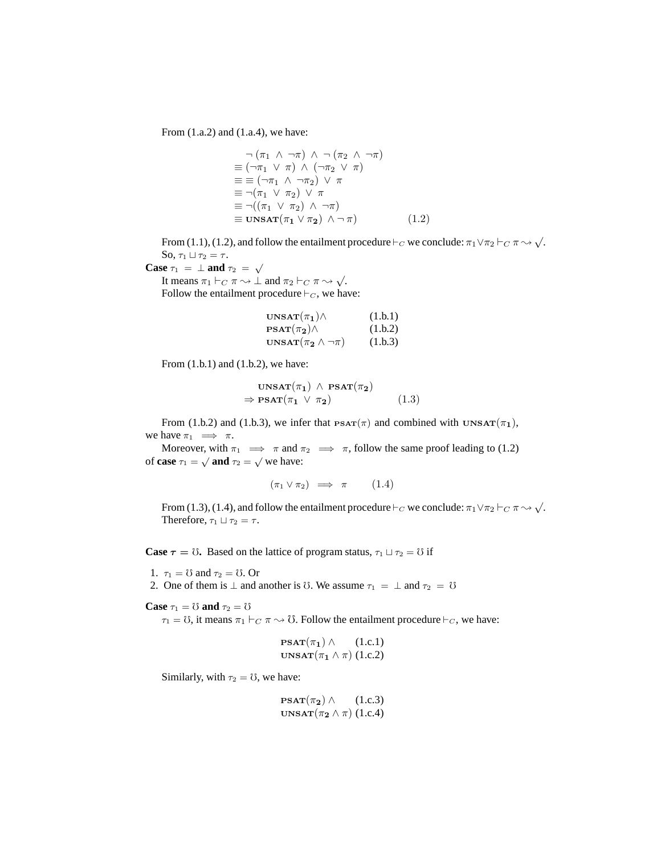From (1.a.2) and (1.a.4), we have:

$$
\neg (\pi_1 \land \neg \pi) \land \neg (\pi_2 \land \neg \pi)
$$
  
\n
$$
\equiv (\neg \pi_1 \lor \pi) \land (\neg \pi_2 \lor \pi)
$$
  
\n
$$
\equiv \equiv (\neg \pi_1 \land \neg \pi_2) \lor \pi
$$
  
\n
$$
\equiv \neg (\pi_1 \lor \pi_2) \lor \pi
$$
  
\n
$$
\equiv \neg (\pi_1 \lor \pi_2) \land \neg \pi)
$$
  
\n
$$
\equiv \text{UNSAT}(\pi_1 \lor \pi_2) \land \neg \pi)
$$
 (1.2)

From (1.1), (1.2), and follow the entailment procedure  $\vdash_C$  we conclude:  $\pi_1 \lor \pi_2 \vdash_C \pi \leadsto \sqrt{ }$ . So,  $\tau_1 \sqcup \tau_2 = \tau$ .

**Case**  $\tau_1 = \perp$  **and**  $\tau_2 = \sqrt{ }$ 

It means  $\pi_1 \vdash_C \pi \leadsto \bot$  and  $\pi_2 \vdash_C \pi \leadsto \sqrt{ }$ .

Follow the entailment procedure  $\vdash_C$ , we have:

| UNSAT $(\pi_1)$                 | (1.b.1) |
|---------------------------------|---------|
| $PSAT(\pi_2)\wedge$             | (1.b.2) |
| UNSAT $(\pi_2 \wedge \neg \pi)$ | (1.b.3) |

From (1.b.1) and (1.b.2), we have:

$$
\text{UNSAT}(\pi_1) \land \text{PSAT}(\pi_2) \n\Rightarrow \text{PSAT}(\pi_1 \lor \pi_2)
$$
\n(1.3)

From (1.b.2) and (1.b.3), we infer that  $PSAT(\pi)$  and combined with UNSAT $(\pi_1)$ , we have  $\pi_1 \implies \pi$ .

Moreover, with  $\pi_1 \implies \pi$  and  $\pi_2 \implies \pi$ , follow the same proof leading to (1.2) of **case**  $\tau_1 = \sqrt{\text{and } \tau_2} = \sqrt{\text{ we have}}$ :

$$
(\pi_1 \vee \pi_2) \implies \pi \qquad (1.4)
$$

From (1.3), (1.4), and follow the entailment procedure  $\vdash_C$  we conclude:  $\pi_1 \lor \pi_2 \vdash_C \pi \leadsto \sqrt{ }$ . Therefore,  $\tau_1 \sqcup \tau_2 = \tau$ .

**Case**  $\tau = \mathbb{U}$ . Based on the lattice of program status,  $\tau_1 \sqcup \tau_2 = \mathbb{U}$  if

1.  $\tau_1 = \sigma$  and  $\tau_2 = \sigma$ . Or

2. One of them is  $\perp$  and another is  $\sigma$ . We assume  $\tau_1 = \perp$  and  $\tau_2 = \sigma$ 

**Case**  $\tau_1 = \mathbb{U}$  and  $\tau_2 = \mathbb{U}$ 

 $\tau_1 = \mathcal{O}$ , it means  $\pi_1 \vdash_C \pi \leadsto \mathcal{O}$ . Follow the entailment procedure  $\vdash_C$ , we have:

```
\text{PSAT}(\pi_1) \wedge \quad (1.c.1)UNSAT(\pi_1 \wedge \pi) (1.c.2)
```
Similarly, with  $\tau_2 = \mathcal{O}$ , we have:

PSAT(
$$
\pi_2
$$
)  $\wedge$  (1.c.3)  
UNSAT( $\pi_2 \wedge \pi$ ) (1.c.4)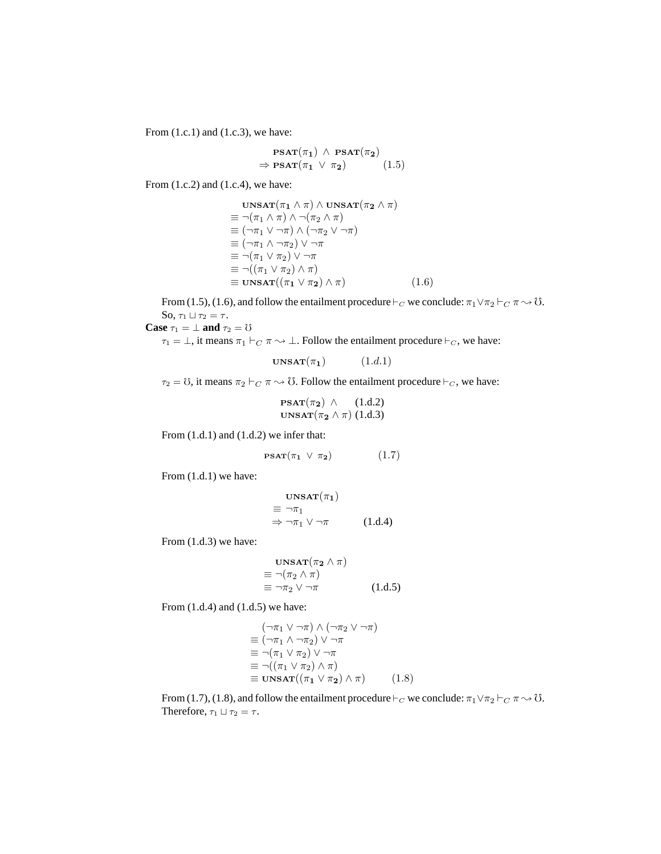From (1.c.1) and (1.c.3), we have:

$$
\mathbf{PSAT}(\pi_1) \wedge \mathbf{PSAT}(\pi_2)
$$
  
\n
$$
\Rightarrow \mathbf{PSAT}(\pi_1 \vee \pi_2) \qquad (1.5)
$$

From (1.c.2) and (1.c.4), we have:

$$
\begin{aligned}\n\text{UNSAT}(\pi_1 \wedge \pi) \wedge \text{UNSAT}(\pi_2 \wedge \pi) \\
&\equiv \neg(\pi_1 \wedge \pi) \wedge \neg(\pi_2 \wedge \pi) \\
&\equiv (\neg \pi_1 \vee \neg \pi) \wedge (\neg \pi_2 \vee \neg \pi) \\
&\equiv (\neg \pi_1 \wedge \neg \pi_2) \vee \neg \pi \\
&\equiv \neg(\pi_1 \vee \pi_2) \vee \neg \pi \\
&\equiv \neg((\pi_1 \vee \pi_2) \wedge \pi) \\
&\equiv \text{UNSAT}((\pi_1 \vee \pi_2) \wedge \pi)\n\end{aligned} \tag{1.6}
$$

From (1.5), (1.6), and follow the entailment procedure  $\vdash_C$  we conclude:  $\pi_1 \lor \pi_2 \vdash_C \pi \leadsto \mathfrak{V}$ . So,  $\tau_1 \sqcup \tau_2 = \tau$ .

Case 
$$
\tau_1 = \bot
$$
 and  $\tau_2 = \mho$ 

 $\tau_1 = \bot$ , it means  $\pi_1 \vdash_C \pi \leadsto \bot$ . Follow the entailment procedure  $\vdash_C$ , we have:

$$
\mathbf{UNSAT}(\pi_1) \quad (1.d.1)
$$

 $\tau_2 = \mathcal{O}$ , it means  $\pi_2 \vdash_C \pi \leadsto \mathcal{O}$ . Follow the entailment procedure  $\vdash_C$ , we have:

PSAT(
$$
\pi_2
$$
)  $\land$  (1.d.2)  
UNSAT( $\pi_2 \land \pi$ ) (1.d.3)

From (1.d.1) and (1.d.2) we infer that:

$$
\text{PSAT}(\pi_1 \vee \pi_2) \tag{1.7}
$$

From (1.d.1) we have:

$$
\begin{aligned}\n&\text{UNSAT}(\pi_1) \\
&\equiv \neg \pi_1 \\
&\Rightarrow \neg \pi_1 \lor \neg \pi\n\end{aligned} \qquad (1.d.4)
$$

From (1.d.3) we have:

$$
\begin{aligned}\n&\text{UNSAT}(\pi_2 \wedge \pi) \\
&\equiv \neg(\pi_2 \wedge \pi) \\
&\equiv \neg \pi_2 \vee \neg \pi\n\end{aligned} \tag{1.d.5}
$$

From  $(1.d.4)$  and  $(1.d.5)$  we have:

$$
(\neg \pi_1 \lor \neg \pi) \land (\neg \pi_2 \lor \neg \pi)
$$
  
\n
$$
\equiv (\neg \pi_1 \land \neg \pi_2) \lor \neg \pi
$$
  
\n
$$
\equiv \neg(\pi_1 \lor \pi_2) \lor \neg \pi
$$
  
\n
$$
\equiv \neg(\pi_1 \lor \pi_2) \land \pi
$$
  
\n
$$
\equiv \text{UNSAT}((\pi_1 \lor \pi_2) \land \pi)
$$
 (1.8)

From (1.7), (1.8), and follow the entailment procedure  $\vdash_C$  we conclude:  $\pi_1 \lor \pi_2 \vdash_C \pi \leadsto \mathfrak{V}$ . Therefore,  $\tau_1 \sqcup \tau_2 = \tau$ .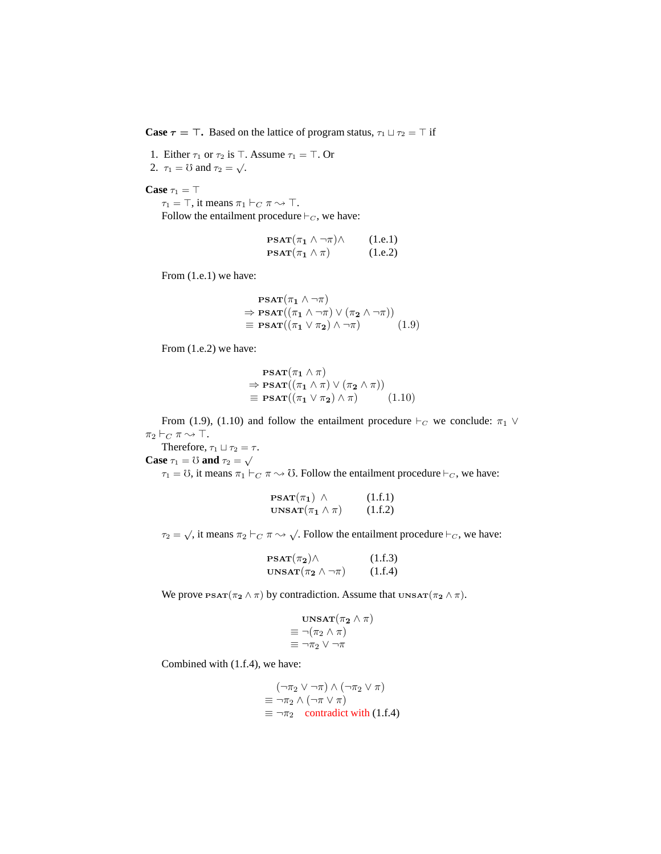**Case**  $\tau = \top$ **.** Based on the lattice of program status,  $\tau_1 \sqcup \tau_2 = \top$  if

1. Either  $\tau_1$  or  $\tau_2$  is ⊤. Assume  $\tau_1 = \top$ . Or

- 2.  $\tau_1 = \text{U}$  and  $\tau_2 = \sqrt{ }$ .
- **Case**  $\tau_1 = \top$

 $\tau_1 = \top$ , it means  $\pi_1 \vdash_C \pi \leadsto \top$ . Follow the entailment procedure  $\vdash_C$ , we have:

> **PSAT** $(\pi_1 \land \neg \pi) \land$  (1.e.1)<br>**PSAT** $(\pi_1 \land \pi)$  (1.e.2)  $\text{PSAT}(\pi_1 \wedge \pi)$

From (1.e.1) we have:

$$
\begin{aligned}\n &\text{PSAT}(\pi_1 \land \neg \pi) \\
 &\Rightarrow \text{PSAT}((\pi_1 \land \neg \pi) \lor (\pi_2 \land \neg \pi)) \\
 &\equiv \text{PSAT}((\pi_1 \lor \pi_2) \land \neg \pi)\n\end{aligned} \tag{1.9}
$$

From (1.e.2) we have:

$$
\begin{aligned}\n\text{PSAT}(\pi_1 \wedge \pi) \\
\Rightarrow \text{PSAT}((\pi_1 \wedge \pi) \vee (\pi_2 \wedge \pi)) \\
\equiv \text{PSAT}((\pi_1 \vee \pi_2) \wedge \pi)\n\end{aligned} (1.10)
$$

From (1.9), (1.10) and follow the entailment procedure  $\vdash_C$  we conclude:  $\pi_1 \vee$  $\pi_2 \vdash_C \pi \rightsquigarrow \top$ .

Therefore,  $\tau_1 \sqcup \tau_2 = \tau$ .

**Case**  $\tau_1 = \emptyset$  **and**  $\tau_2 = \sqrt{ }$ 

 $\tau_1 = \mathcal{O}$ , it means  $\pi_1 \vdash_C \pi \leadsto \mathcal{O}$ . Follow the entailment procedure  $\vdash_C$ , we have:

| $\textbf{PSAT}(\pi_1)$ $\wedge$ | (1.f.1) |
|---------------------------------|---------|
| UNSAT $(\pi_1 \wedge \pi)$      | (1.f.2) |

 $\tau_2 = \sqrt{\sqrt{}}$ , it means  $\pi_2 \vdash_C \pi \leadsto \sqrt{\sqrt{}}$ . Follow the entailment procedure  $\vdash_C$ , we have:

PSAT(
$$
\pi_2
$$
) $\wedge$  (1.f.3)  
UNSAT( $\pi_2 \wedge \neg \pi$ ) (1.f.4)

We prove  $PSAT(\pi_2 \wedge \pi)$  by contradiction. Assume that  $UNSAT(\pi_2 \wedge \pi)$ .

$$
\begin{aligned} \text{UNSAT}(\pi_2 \wedge \pi) \\ &\equiv \neg(\pi_2 \wedge \pi) \\ &\equiv \neg \pi_2 \vee \neg \pi \end{aligned}
$$

Combined with (1.f.4), we have:

$$
(\neg \pi_2 \lor \neg \pi) \land (\neg \pi_2 \lor \pi)
$$
  
\n
$$
\equiv \neg \pi_2 \land (\neg \pi \lor \pi)
$$
  
\n
$$
\equiv \neg \pi_2 \quad \text{contradict with (1.f.4)}
$$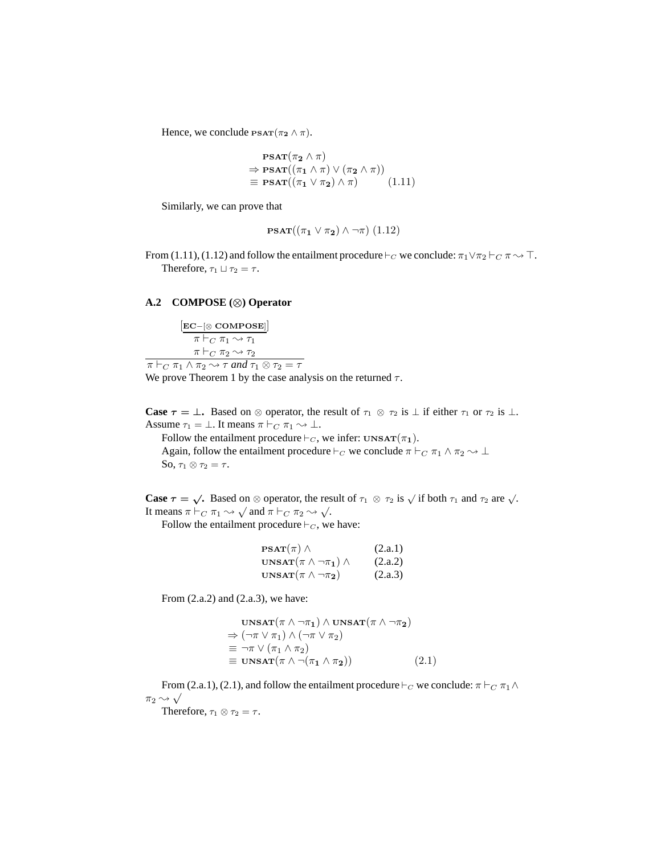Hence, we conclude  $PSAT(\pi_2 \wedge \pi)$ .

$$
\begin{aligned}\n\text{PSAT}(\pi_2 \wedge \pi) \\
\Rightarrow \text{PSAT}((\pi_1 \wedge \pi) \vee (\pi_2 \wedge \pi)) \\
\equiv \text{PSAT}((\pi_1 \vee \pi_2) \wedge \pi)\n\end{aligned} (1.11)
$$

Similarly, we can prove that

$$
\mathbf{PSAT}((\pi_1 \vee \pi_2) \wedge \neg \pi) (1.12)
$$

From (1.11), (1.12) and follow the entailment procedure  $\vdash_C$  we conclude:  $\pi_1 \lor \pi_2 \vdash_C \pi \leadsto \top$ . Therefore,  $\tau_1 \sqcup \tau_2 = \tau$ .

# **A.2 COMPOSE (**⊗**) Operator**

[EC−[<sup>⊗</sup> COMPOSE]]  $\pi\vdash_C \pi_1 \rightsquigarrow \tau_1$  $\pi\vdash_C \underline{\pi_2\leadsto\tau_2}$ 

 $\pi \vdash_C \pi_1 \land \pi_2 \leadsto \tau$  and  $\tau_1 \otimes \tau_2 = \tau$ 

We prove Theorem 1 by the case analysis on the returned  $\tau$ .

**Case**  $\tau = \bot$ **.** Based on ⊗ operator, the result of  $\tau_1 \otimes \tau_2$  is  $\bot$  if either  $\tau_1$  or  $\tau_2$  is  $\bot$ . Assume  $\tau_1 = \bot$ . It means  $\pi \vdash_C \pi_1 \leadsto \bot$ .

Follow the entailment procedure  $\vdash_C$ , we infer: UNSAT( $\pi_1$ ). Again, follow the entailment procedure  $\vdash_C$  we conclude  $\pi \vdash_C \pi_1 \land \pi_2 \leadsto \bot$ So,  $\tau_1 \otimes \tau_2 = \tau$ .

**Case**  $\tau = \sqrt{\,}$  Based on  $\otimes$  operator, the result of  $\tau_1 \otimes \tau_2$  is  $\sqrt{\,}$  if both  $\tau_1$  and  $\tau_2$  are  $\sqrt{\,}$ . It means  $\pi \vdash_C \pi_1 \leadsto \sqrt{a}$  and  $\pi \vdash_C \pi_2 \leadsto \sqrt{b}$ .

Follow the entailment procedure  $\vdash_C$ , we have:

| $\textbf{PSAT}(\pi) \wedge$            | (2.a.1) |
|----------------------------------------|---------|
| UNSAT $(\pi \wedge \neg \pi_1) \wedge$ | (2.a.2) |
| UNSAT $(\pi \wedge \neg \pi_2)$        | (2.a.3) |

From (2.a.2) and (2.a.3), we have:

$$
\begin{aligned}\n\text{UNSAT}(\pi \wedge \neg \pi_1) \wedge \text{UNSAT}(\pi \wedge \neg \pi_2) \\
\Rightarrow (\neg \pi \vee \pi_1) \wedge (\neg \pi \vee \pi_2) \\
\equiv \neg \pi \vee (\pi_1 \wedge \pi_2) \\
\equiv \text{UNSAT}(\pi \wedge \neg (\pi_1 \wedge \pi_2))\n\end{aligned} \tag{2.1}
$$

From (2.a.1), (2.1), and follow the entailment procedure  $\vdash_C$  we conclude:  $\pi \vdash_C \pi_1 \wedge$  $\pi_2 \rightsquigarrow \sqrt$ 

Therefore,  $\tau_1 \otimes \tau_2 = \tau$ .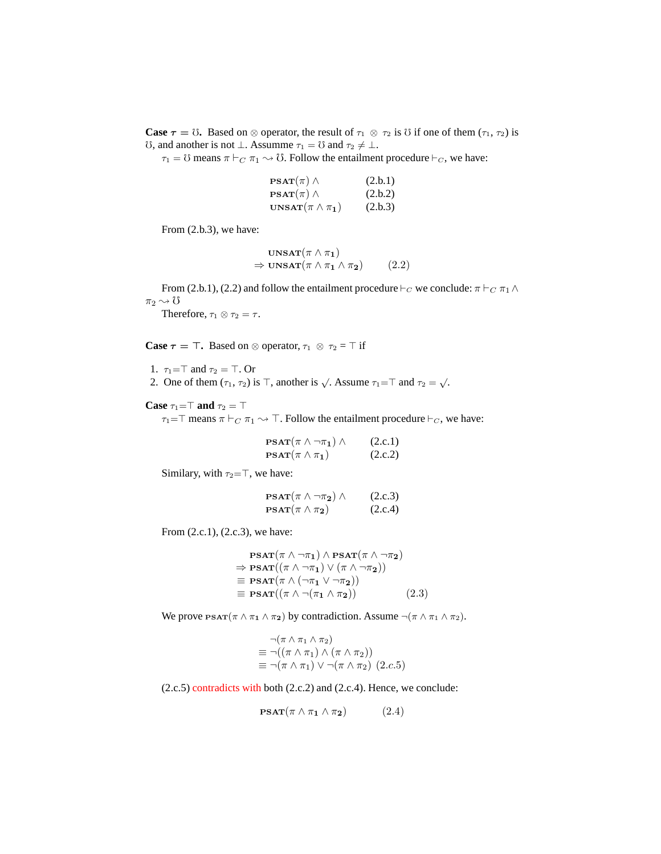**Case**  $\tau = \mathbb{U}$ . Based on  $\otimes$  operator, the result of  $\tau_1 \otimes \tau_2$  is  $\mathbb{U}$  if one of them  $(\tau_1, \tau_2)$  is  $\text{ }x_1$ , and another is not ⊥. Assumme  $τ_1 = \text{ }x_1$  and  $τ_2 \neq \bot$ .

 $\tau_1 = \text{U}$  means  $\pi \vdash_C \pi_1 \leadsto \text{U}$ . Follow the entailment procedure  $\vdash_C$ , we have:

| (2.b.1) |
|---------|
| (2.b.2) |
| (2.b.3) |
|         |

From (2.b.3), we have:

$$
\begin{aligned}\n\text{UNSAT}(\pi \wedge \pi_1) \\
\Rightarrow \text{UNSAT}(\pi \wedge \pi_1 \wedge \pi_2) \qquad (2.2)\n\end{aligned}
$$

From (2.b.1), (2.2) and follow the entailment procedure  $\vdash_C$  we conclude:  $\pi \vdash_C \pi_1 \wedge$  $\pi_2 \rightsquigarrow \mho$ 

Therefore,  $\tau_1 \otimes \tau_2 = \tau$ .

**Case**  $\tau = \top$ **.** Based on ⊗ operator,  $\tau_1 \otimes \tau_2 = \top$  if

1.  $\tau_1 = \top$  and  $\tau_2 = \top$ . Or

2. One of them  $(\tau_1, \tau_2)$  is  $\top$ , another is  $\sqrt{\ }$ . Assume  $\tau_1 = \top$  and  $\tau_2 = \sqrt{\ }$ .

**Case**  $\tau_1 = \top$  **and**  $\tau_2 = \top$ 

 $\tau_1=\top$  means  $\pi\vdash_C \pi_1\leadsto\top$ . Follow the entailment procedure  $\vdash_C$ , we have:

| $\textbf{PSAT}(\pi\wedge\neg\pi_\mathbf{1})\wedge$ | (2.c.1) |
|----------------------------------------------------|---------|
| $\textbf{PSAT}(\pi\wedge\pi_\mathbf{1})$           | (2.c.2) |

Similary, with  $\tau_2 = \top$ , we have:

| $\textbf{PSAT}(\pi\wedge\neg\pi_\mathbf{2})\wedge$ | (2.c.3) |
|----------------------------------------------------|---------|
| $\textbf{PSAT}(\pi\wedge\pi_{2})$                  | (2.c.4) |

From (2.c.1), (2.c.3), we have:

$$
\begin{aligned}\n\text{PSAT}(\pi \wedge \neg \pi_1) \wedge \text{PSAT}(\pi \wedge \neg \pi_2) \\
\Rightarrow \text{PSAT}((\pi \wedge \neg \pi_1) \vee (\pi \wedge \neg \pi_2)) \\
\equiv \text{PSAT}(\pi \wedge (\neg \pi_1 \vee \neg \pi_2)) \\
\equiv \text{PSAT}((\pi \wedge \neg (\pi_1 \wedge \pi_2))\n\end{aligned} \tag{2.3}
$$

We prove  $\text{PSAT}(\pi \wedge \pi_1 \wedge \pi_2)$  by contradiction. Assume  $\neg(\pi \wedge \pi_1 \wedge \pi_2)$ .

$$
\neg(\pi \wedge \pi_1 \wedge \pi_2)
$$
  
\n
$$
\equiv \neg((\pi \wedge \pi_1) \wedge (\pi \wedge \pi_2))
$$
  
\n
$$
\equiv \neg(\pi \wedge \pi_1) \vee \neg(\pi \wedge \pi_2) (2.c.5)
$$

(2.c.5) contradicts with both (2.c.2) and (2.c.4). Hence, we conclude:

$$
\mathbf{PSAT}(\pi \wedge \pi_1 \wedge \pi_2) \tag{2.4}
$$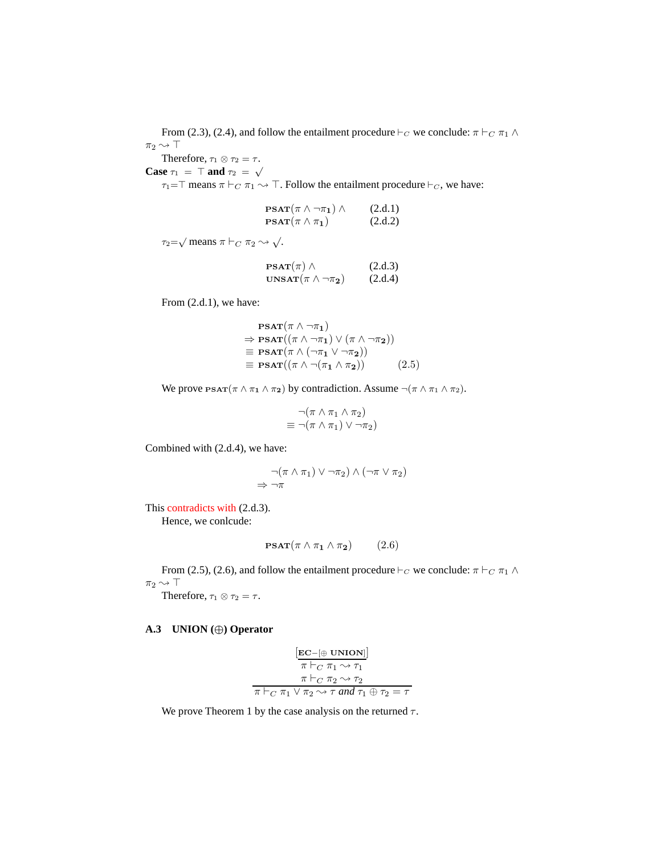From (2.3), (2.4), and follow the entailment procedure  $\vdash_C$  we conclude:  $\pi \vdash_C \pi_1 \wedge$  $\pi_2 \sim \top$ 

Therefore,  $\tau_1 \otimes \tau_2 = \tau$ .

**Case**  $\tau_1 = \top$  **and**  $\tau_2 = \sqrt{ }$ 

 $\tau_1=\top$  means  $\pi\vdash_C \pi_1\leadsto\top$ . Follow the entailment procedure  $\vdash_C$ , we have:

| $PSAT(\pi \wedge \neg \pi_1) \wedge$ | (2.d.1) |
|--------------------------------------|---------|
| $\textbf{PSAT}(\pi\wedge\pi_1)$      | (2.d.2) |

 $\tau_2 = \sqrt{\text{means } \pi} \vdash_C \pi_2 \leadsto \sqrt{\cdot}$ 

PSAT(
$$
\pi
$$
)  $\land$  (2.d.3)  
UNSAT( $\pi \land \neg \pi_2$ ) (2.d.4)

From (2.d.1), we have:

$$
PSAT(π ∧ ¬π1)
$$
  
\n⇒ 
$$
PSAT((π ∧ ¬π1) ∨ (π ∧ ¬π2))
$$
  
\n≡ 
$$
PSAT(π ∧ (¬π1 ∨ ¬π2))
$$
  
\n≡ 
$$
PSAT((π ∧ ¬(π1 ∧ π2))
$$
 (2.5)

We prove  $PSAT(\pi \wedge \pi_1 \wedge \pi_2)$  by contradiction. Assume  $\neg(\pi \wedge \pi_1 \wedge \pi_2)$ .

$$
\neg(\pi \wedge \pi_1 \wedge \pi_2)
$$
  

$$
\equiv \neg(\pi \wedge \pi_1) \vee \neg \pi_2)
$$

Combined with (2.d.4), we have:

$$
\neg(\pi \wedge \pi_1) \vee \neg \pi_2) \wedge (\neg \pi \vee \pi_2)
$$
  

$$
\Rightarrow \neg \pi
$$

This contradicts with (2.d.3).

Hence, we conlcude:

$$
\mathbf{PSAT}(\pi \wedge \pi_1 \wedge \pi_2) \qquad (2.6)
$$

From (2.5), (2.6), and follow the entailment procedure  $\vdash_C$  we conclude:  $\pi \vdash_C \pi_1 \wedge$  $\pi_2 \rightsquigarrow \top$ 

Therefore,  $\tau_1 \otimes \tau_2 = \tau$ .

### **A.3 UNION (**⊕**) Operator**

$$
\frac{\begin{bmatrix}\n\mathbf{EC} - [\oplus \text{ UNION}]\n\hline\n\pi \vdash_C \pi_1 \leadsto \tau_1\n\end{bmatrix}}{\pi \vdash_C \pi_2 \leadsto \tau_2}
$$
\n
$$
\pi \vdash_C \pi_1 \lor \pi_2 \leadsto \tau \text{ and } \tau_1 \oplus \tau_2 = \tau
$$

We prove Theorem 1 by the case analysis on the returned  $\tau$ .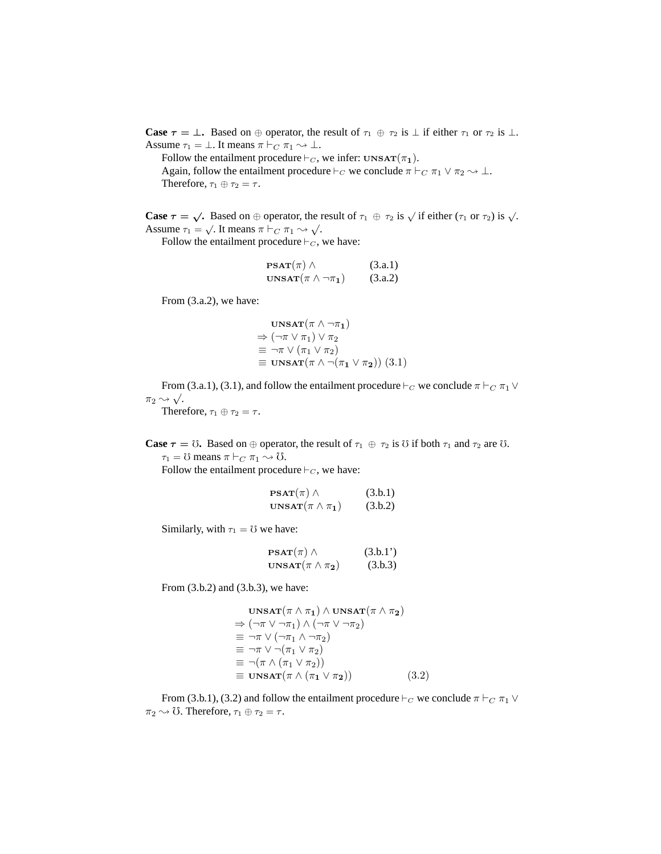**Case**  $\tau = \bot$ **.** Based on  $\oplus$  operator, the result of  $\tau_1 \oplus \tau_2$  is  $\bot$  if either  $\tau_1$  or  $\tau_2$  is  $\bot$ . Assume  $\tau_1 = \bot$ . It means  $\pi \vdash_C \pi_1 \leadsto \bot$ .

Follow the entailment procedure ⊢<sub>C</sub>, we infer: UNSAT( $\pi_1$ ).

Again, follow the entailment procedure ⊢<sub>C</sub> we conclude  $\pi \vdash_C \pi_1 \lor \pi_2 \leadsto \bot$ . Therefore,  $\tau_1 \oplus \tau_2 = \tau$ .

**Case**  $\tau = \sqrt{\,}$  Based on  $\oplus$  operator, the result of  $\tau_1 \oplus \tau_2$  is  $\sqrt{\,}$  if either ( $\tau_1$  or  $\tau_2$ ) is  $\sqrt{\,}$ . Assume  $\tau_1 = \sqrt{ }$ . It means  $\pi \vdash_C \pi_1 \rightsquigarrow \sqrt{ }$ .

Follow the entailment procedure  $\vdash_C$ , we have:

PSAT(
$$
\pi
$$
)  $\wedge$  (3.a.1)  
UNSAT( $\pi \wedge \neg \pi_1$ ) (3.a.2)

From (3.a.2), we have:

$$
\begin{aligned}\n\text{UNSAT}(\pi \wedge \neg \pi_1) \\
\Rightarrow (\neg \pi \vee \pi_1) \vee \pi_2 \\
\equiv \neg \pi \vee (\pi_1 \vee \pi_2) \\
\equiv \text{UNSAT}(\pi \wedge \neg (\pi_1 \vee \pi_2)) (3.1)\n\end{aligned}
$$

From (3.a.1), (3.1), and follow the entailment procedure  $\vdash_C$  we conclude  $\pi \vdash_C \pi_1 \vee$  $\pi_2 \rightsquigarrow \sqrt{ }$ .

Therefore,  $\tau_1 \oplus \tau_2 = \tau$ .

**Case**  $\tau = \mathbb{0}$ . Based on  $\oplus$  operator, the result of  $\tau_1 \oplus \tau_2$  is  $\mathbb{0}$  if both  $\tau_1$  and  $\tau_2$  are  $\mathbb{0}$ .  $\tau_1 = \mathfrak{O}$  means  $\pi \vdash_C \pi_1 \leadsto \mathfrak{O}$ .

Follow the entailment procedure  $\vdash_C$ , we have:

| $\textbf{PSAT}(\pi)\wedge$ | (3.b.1) |
|----------------------------|---------|
| UNSAT $(\pi \wedge \pi_1)$ | (3.b.2) |

Similarly, with  $\tau_1 = \sigma$  we have:

PSAT(
$$
\pi
$$
)  $\land$  (3.b.1')  
UNSAT( $\pi \land \pi_2$ ) (3.b.3)

From (3.b.2) and (3.b.3), we have:

$$
\begin{aligned}\n\text{UNSAT}(\pi \wedge \pi_1) \wedge \text{UNSAT}(\pi \wedge \pi_2) \\
\Rightarrow (\neg \pi \vee \neg \pi_1) \wedge (\neg \pi \vee \neg \pi_2) \\
\equiv \neg \pi \vee (\neg \pi_1 \wedge \neg \pi_2) \\
\equiv \neg \pi \vee \neg (\pi_1 \vee \pi_2) \\
\equiv \neg (\pi \wedge (\pi_1 \vee \pi_2)) \\
\equiv \text{UNSAT}(\pi \wedge (\pi_1 \vee \pi_2))\n\end{aligned} \tag{3.2}
$$

From (3.b.1), (3.2) and follow the entailment procedure  $\vdash_C$  we conclude  $\pi \vdash_C \pi_1 \vee$  $\pi_2 \rightsquigarrow U$ . Therefore,  $\tau_1 \oplus \tau_2 = \tau$ .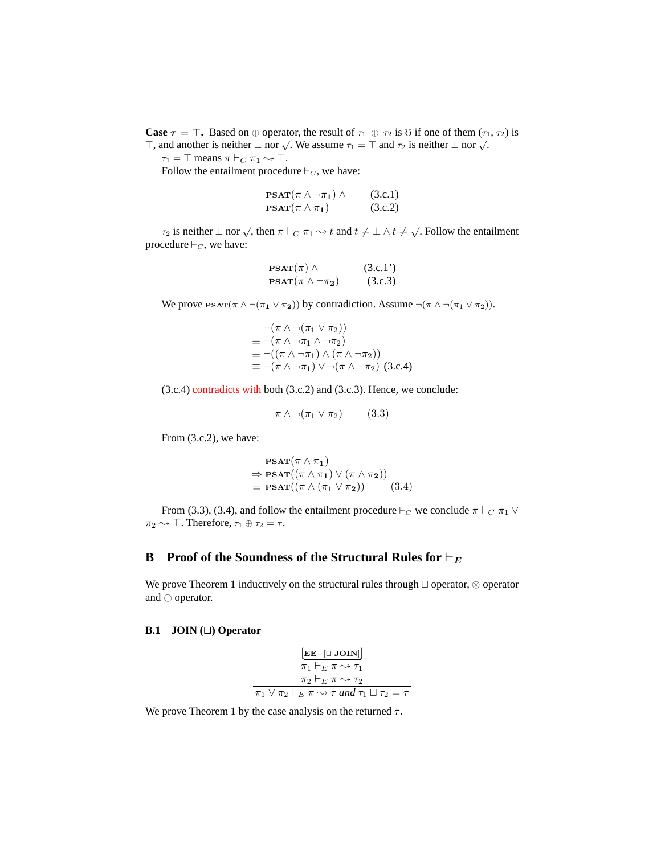**Case**  $\tau = \top$ **.** Based on  $\oplus$  operator, the result of  $\tau_1 \oplus \tau_2$  is U if one of them  $(\tau_1, \tau_2)$  is ⊤, and another is neither  $\perp$  nor  $\sqrt{\cdot}$ . We assume  $τ_1 = ⊤$  and  $τ_2$  is neither  $\perp$  nor  $\sqrt{\cdot}$ .

 $\tau_1 = \top$  means  $\pi \vdash_C \pi_1 \rightsquigarrow \top$ .

Follow the entailment procedure  $\vdash_C$ , we have:

| $PSAT(\pi \wedge \neg \pi_1) \wedge$ | (3.c.1) |
|--------------------------------------|---------|
| $\textbf{PSAT}(\pi\wedge\pi_1)$      | (3.c.2) |

 $\tau_2$  is neither  $\perp$  nor  $\sqrt{ }$ , then  $\pi \vdash_C \pi_1 \leadsto t$  and  $t \neq \perp \wedge t \neq \sqrt{ }$ . Follow the entailment procedure  $\vdash_C$ , we have:

PSAT(
$$
\pi
$$
)  $\land$  (3.c.1')  
PSAT( $\pi \land \neg \pi_2$ ) (3.c.3)

We prove  $\text{psar}(\pi \wedge \neg(\pi_1 \vee \pi_2))$  by contradiction. Assume  $\neg(\pi \wedge \neg(\pi_1 \vee \pi_2)).$ 

$$
\neg(\pi \wedge \neg(\pi_1 \vee \pi_2))
$$
  
\n
$$
\equiv \neg(\pi \wedge \neg \pi_1 \wedge \neg \pi_2)
$$
  
\n
$$
\equiv \neg((\pi \wedge \neg \pi_1) \wedge (\pi \wedge \neg \pi_2))
$$
  
\n
$$
\equiv \neg(\pi \wedge \neg \pi_1) \vee \neg(\pi \wedge \neg \pi_2) (3.c.4)
$$

(3.c.4) contradicts with both (3.c.2) and (3.c.3). Hence, we conclude:

$$
\pi \wedge \neg(\pi_1 \vee \pi_2) \qquad (3.3)
$$

From (3.c.2), we have:

$$
\begin{aligned} \n\text{PSAT}(\pi \wedge \pi_1) \\
\Rightarrow \text{PSAT}((\pi \wedge \pi_1) \vee (\pi \wedge \pi_2)) \\
\equiv \text{PSAT}((\pi \wedge (\pi_1 \vee \pi_2)) \qquad (3.4) \n\end{aligned}
$$

From (3.3), (3.4), and follow the entailment procedure  $\vdash_C$  we conclude  $\pi \vdash_C \pi_1 \vee$  $\pi_2 \rightsquigarrow \top$ . Therefore,  $\tau_1 \oplus \tau_2 = \tau$ .

# **B** Proof of the Soundness of the Structural Rules for  $\vdash_E$

We prove Theorem 1 inductively on the structural rules through ⊔ operator, ⊗ operator and ⊕ operator.

### **B.1 JOIN (**⊔**) Operator**

$$
\frac{\begin{bmatrix}\n\text{EE} - [\sqcup \text{ JOIN}]\n\end{bmatrix}}{\pi_1 \vdash_E \pi \leadsto \tau_1}
$$
\n
$$
\frac{\pi_2 \vdash_E \pi \leadsto \tau_2}{\pi_1 \lor \pi_2 \vdash_E \pi \leadsto \tau \text{ and } \tau_1 \sqcup \tau_2 = \tau}
$$

We prove Theorem 1 by the case analysis on the returned  $\tau$ .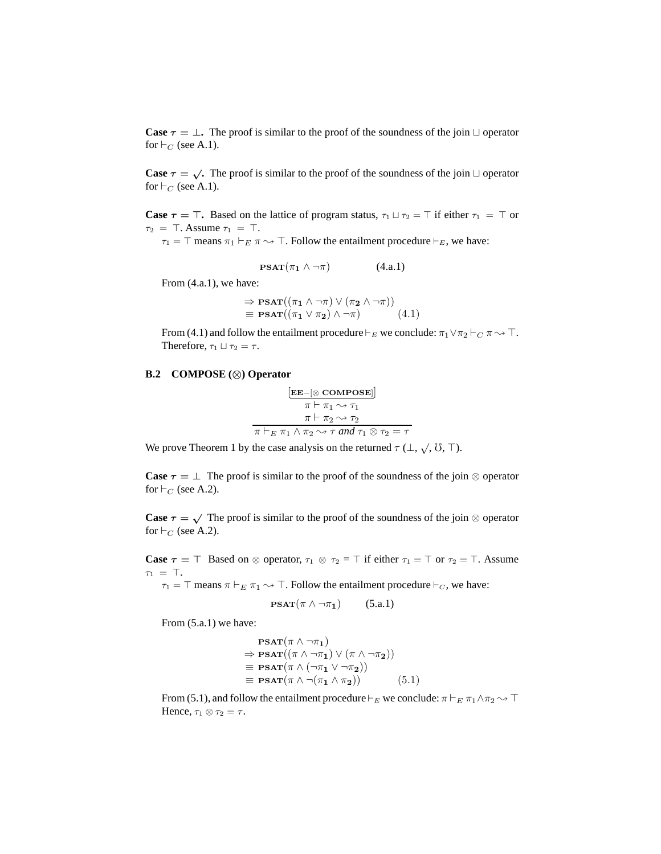**Case**  $\tau = \bot$ . The proof is similar to the proof of the soundness of the join  $\bot$  operator for  $\vdash_C$  (see A.1).

**Case**  $\tau = \sqrt{\sqrt{ } }$ . The proof is similar to the proof of the soundness of the join  $\Box$  operator for  $\vdash_C$  (see A.1).

**Case**  $\tau = \top$ **.** Based on the lattice of program status,  $\tau_1 \sqcup \tau_2 = \top$  if either  $\tau_1 = \top$  or  $\tau_2$  = ⊤. Assume  $\tau_1$  = ⊤.

 $\tau_1 = \top$  means  $\pi_1 \vdash_E \pi \leadsto \top$ . Follow the entailment procedure  $\vdash_E$ , we have:

$$
\mathbf{PSAT}(\pi_1 \wedge \neg \pi) \tag{4.a.1}
$$

From (4.a.1), we have:

$$
\Rightarrow \mathbf{PSAT}((\pi_1 \wedge \neg \pi) \vee (\pi_2 \wedge \neg \pi))
$$
  
\n
$$
\equiv \mathbf{PSAT}((\pi_1 \vee \pi_2) \wedge \neg \pi)
$$
 (4.1)

From (4.1) and follow the entailment procedure ⊢<sub>E</sub> we conclude:  $\pi_1 \vee \pi_2 \vdash_C \pi \rightsquigarrow \top$ . Therefore,  $\tau_1 \sqcup \tau_2 = \tau$ .

#### **B.2 COMPOSE (**⊗**) Operator**

$$
\frac{\left[\mathbf{EE} - [\otimes \mathbf{COMPOSE}]\right]}{\pi \vdash \pi_1 \leadsto \tau_1}
$$
\n
$$
\frac{\pi \vdash \pi_2 \leadsto \tau_2}{\pi \vdash_E \pi_1 \land \pi_2 \leadsto \tau \text{ and } \tau_1 \otimes \tau_2 = \tau}
$$

We prove Theorem 1 by the case analysis on the returned  $\tau(\perp, \sqrt{0}, \top)$ .

**Case**  $\tau = \bot$  The proof is similar to the proof of the soundness of the join ⊗ operator for  $\vdash_C$  (see A.2).

**Case**  $\tau = \sqrt{\ }$  The proof is similar to the proof of the soundness of the join ⊗ operator for  $\vdash_C$  (see A.2).

**Case**  $\tau = \top$  Based on ⊗ operator,  $\tau_1 \otimes \tau_2 = \top$  if either  $\tau_1 = \top$  or  $\tau_2 = \top$ . Assume  $\tau_1 = \top.$ 

 $\tau_1 = \top$  means  $\pi \vdash_E \pi_1 \leadsto \top$ . Follow the entailment procedure  $\vdash_C$ , we have:

$$
\mathbf{PSAT}(\pi \wedge \neg \pi_1) \qquad (5.a.1)
$$

From (5.a.1) we have:

$$
PSAT(π ∧ ¬π1)
$$
  
\n⇒ 
$$
PSAT((π ∧ ¬π1) ∨ (π ∧ ¬π2))
$$
  
\n
$$
\equiv PSAT(π ∧ (¬π1 ∨ ¬π2))
$$
  
\n
$$
\equiv PSAT(π ∧ ¬(π1 ∧ π2))
$$
 (5.1)

From (5.1), and follow the entailment procedure  $\vdash_E$  we conclude:  $\pi \vdash_E \pi_1 \wedge \pi_2 \leadsto \top$ Hence,  $\tau_1 \otimes \tau_2 = \tau$ .